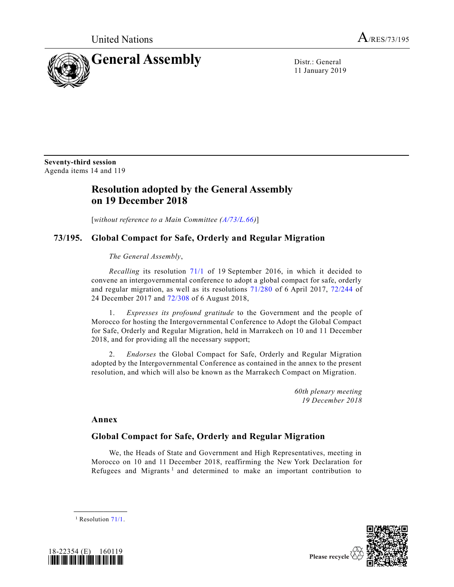

11 January 2019

**Seventy-third session** Agenda items 14 and 119

# **Resolution adopted by the General Assembly on 19 December 2018**

[*without reference to a Main Committee [\(A/73/L.66\)](https://undocs.org/A/73/L.66)*]

## **73/195. Global Compact for Safe, Orderly and Regular Migration**

## *The General Assembly*,

*Recalling* its resolution [71/1](https://undocs.org/A/RES/71/1) of 19 September 2016, in which it decided to convene an intergovernmental conference to adopt a global compact for safe, orderly and regular migration, as well as its resolutions [71/280](https://undocs.org/A/RES/71/280) of 6 April 2017, [72/244](https://undocs.org/A/RES/72/244) of 24 December 2017 and [72/308](https://undocs.org/A/RES/72/308) of 6 August 2018,

1. *Expresses its profound gratitude* to the Government and the people of Morocco for hosting the Intergovernmental Conference to Adopt the Global Compact for Safe, Orderly and Regular Migration, held in Marrakech on 10 and 11 December 2018, and for providing all the necessary support;

2. *Endorses* the Global Compact for Safe, Orderly and Regular Migration adopted by the Intergovernmental Conference as contained in the annex to the present resolution, and which will also be known as the Marrakech Compact on Migration.

> *60th plenary meeting 19 December 2018*

## **Annex**

## **Global Compact for Safe, Orderly and Regular Migration**

We, the Heads of State and Government and High Representatives, meeting in Morocco on 10 and 11 December 2018, reaffirming the New York Declaration for Refugees and Migrants<sup>1</sup> and determined to make an important contribution to



**\_\_\_\_\_\_\_\_\_\_\_\_\_\_\_\_\_\_** <sup>1</sup> Resolution  $71/1$ .



Please recycle  $\langle$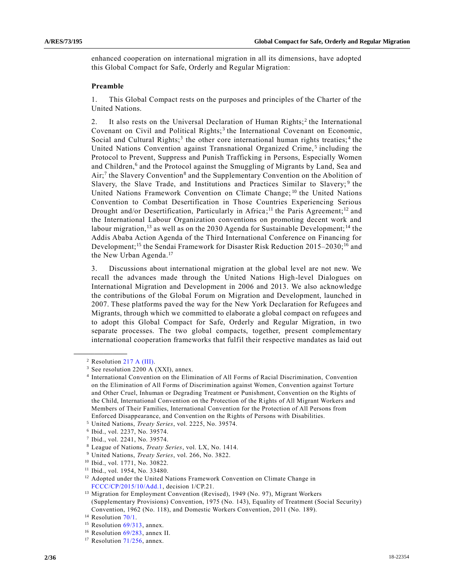enhanced cooperation on international migration in all its dimensions, have adopted this Global Compact for Safe, Orderly and Regular Migration:

#### **Preamble**

1. This Global Compact rests on the purposes and principles of the Charter of the United Nations.

<span id="page-1-0"></span>2. It also rests on the Universal Declaration of Human Rights;<sup>2</sup> the International Covenant on Civil and Political Rights;<sup>3</sup> the International Covenant on Economic, Social and Cultural Rights;<sup>[3](#page-1-0)</sup> the other core international human rights treaties;<sup>4</sup> the United Nations Convention against Transnational Organized Crime,<sup>5</sup> including the Protocol to Prevent, Suppress and Punish Trafficking in Persons, Especially Women and Children,<sup>6</sup> and the Protocol against the Smuggling of Migrants by Land, Sea and Air;<sup>7</sup> the Slavery Convention<sup>8</sup> and the Supplementary Convention on the Abolition of Slavery, the Slave Trade, and Institutions and Practices Similar to Slavery;<sup>9</sup> the United Nations Framework Convention on Climate Change;<sup>10</sup> the United Nations Convention to Combat Desertification in Those Countries Experiencing Serious Drought and/or Desertification, Particularly in Africa;<sup>11</sup> the Paris Agreement;<sup>12</sup> and the International Labour Organization conventions on promoting decent work and labour migration,<sup>13</sup> as well as on the 2030 Agenda for Sustainable Development;<sup>14</sup> the Addis Ababa Action Agenda of the Third International Conference on Financing for Development;<sup>15</sup> the Sendai Framework for Disaster Risk Reduction  $2015-2030$ ;<sup>16</sup> and the New Urban Agenda. 17

3. Discussions about international migration at the global level are not new. We recall the advances made through the United Nations High-level Dialogues on International Migration and Development in 2006 and 2013. We also acknowledge the contributions of the Global Forum on Migration and Development, launched in 2007. These platforms paved the way for the New York Declaration for Refugees and Migrants, through which we committed to elaborate a global compact on refugees and to adopt this Global Compact for Safe, Orderly and Regular Migration, in two separate processes. The two global compacts, together, present complementary international cooperation frameworks that fulfil their respective mandates as laid out

**\_\_\_\_\_\_\_\_\_\_\_\_\_\_\_\_\_\_**

<sup>2</sup> Resolution 217 A [\(III\).](https://undocs.org/A/RES/217(III))

 $3$  See resolution 2200 A (XXI), annex.

<sup>4</sup> International Convention on the Elimination of All Forms of Racial Discrimination, Convention on the Elimination of All Forms of Discrimination against Women, Convention against Torture and Other Cruel, Inhuman or Degrading Treatment or Punishment, Convention on the Rights of the Child, International Convention on the Protection of the Rights of All Migrant Workers and Members of Their Families, International Convention for the Protection of All Persons from Enforced Disappearance, and Convention on the Rights of Persons with Disabilities.

<sup>5</sup> United Nations, *Treaty Series*, vol. 2225, No. 39574.

<sup>6</sup> Ibid., vol. 2237, No. 39574.

<sup>7</sup> Ibid., vol. 2241, No. 39574.

<sup>8</sup> League of Nations, *Treaty Series*, vol. LX, No. 1414.

<sup>9</sup> United Nations, *Treaty Series*, vol. 266, No. 3822.

<sup>10</sup> Ibid., vol. 1771, No. 30822.

<sup>11</sup> Ibid., vol. 1954, No. 33480.

<sup>&</sup>lt;sup>12</sup> Adopted under the United Nations Framework Convention on Climate Change in [FCCC/CP/2015/10/Add.1,](https://undocs.org/FCCC/CP/2015/10/Add.1) decision 1/CP.21.

<sup>&</sup>lt;sup>13</sup> Migration for Employment Convention (Revised), 1949 (No. 97), Migrant Workers (Supplementary Provisions) Convention, 1975 (No. 143), Equality of Treatment (Social Security) Convention, 1962 (No. 118), and Domestic Workers Convention, 2011 (No. 189).

<sup>&</sup>lt;sup>14</sup> Resolution [70/1.](https://undocs.org/A/RES/70/1)

<sup>&</sup>lt;sup>15</sup> Resolution [69/313,](https://undocs.org/A/RES/69/313) annex.

<sup>&</sup>lt;sup>16</sup> Resolution [69/283,](https://undocs.org/A/RES/69/283) annex II.

 $17$  Resolution [71/256,](https://undocs.org/A/RES/71/256) annex.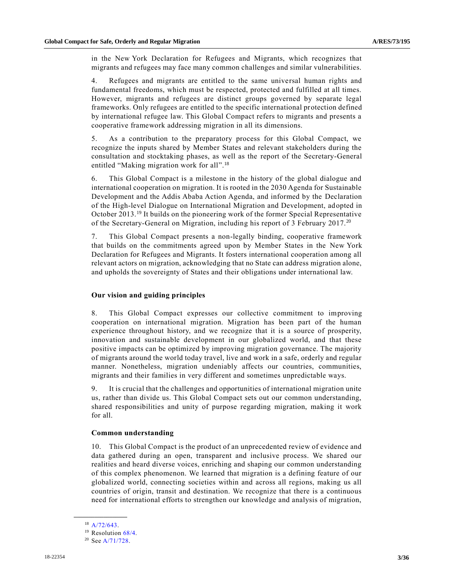in the New York Declaration for Refugees and Migrants, which recognizes that migrants and refugees may face many common challenges and similar vulnerabilities.

4. Refugees and migrants are entitled to the same universal human rights and fundamental freedoms, which must be respected, protected and fulfilled at all times. However, migrants and refugees are distinct groups governed by separate legal frameworks. Only refugees are entitled to the specific international protection defined by international refugee law. This Global Compact refers to migrants and presents a cooperative framework addressing migration in all its dimensions.

5. As a contribution to the preparatory process for this Global Compact, we recognize the inputs shared by Member States and relevant stakeholders during the consultation and stocktaking phases, as well as the report of the Secretary-General entitled "Making migration work for all".<sup>18</sup>

6. This Global Compact is a milestone in the history of the global dialogue and international cooperation on migration. It is rooted in the 2030 Agenda for Sustainable Development and the Addis Ababa Action Agenda, and informed by the Declaration of the High-level Dialogue on International Migration and Development, adopted in October 2013.<sup>19</sup> It builds on the pioneering work of the former Special Representative of the Secretary-General on Migration, including his report of 3 February 2017.<sup>20</sup>

7. This Global Compact presents a non-legally binding, cooperative framework that builds on the commitments agreed upon by Member States in the New York Declaration for Refugees and Migrants. It fosters international cooperation among all relevant actors on migration, acknowledging that no State can address migration alone, and upholds the sovereignty of States and their obligations under international law.

#### **Our vision and guiding principles**

8. This Global Compact expresses our collective commitment to improving cooperation on international migration. Migration has been part of the human experience throughout history, and we recognize that it is a source of prosperity, innovation and sustainable development in our globalized world, and that these positive impacts can be optimized by improving migration governance. The majority of migrants around the world today travel, live and work in a safe, orderly and regular manner. Nonetheless, migration undeniably affects our countries, communities, migrants and their families in very different and sometimes unpredictable ways.

9. It is crucial that the challenges and opportunities of international migration unite us, rather than divide us. This Global Compact sets out our common understanding, shared responsibilities and unity of purpose regarding migration, making it work for all.

#### **Common understanding**

10. This Global Compact is the product of an unprecedented review of evidence and data gathered during an open, transparent and inclusive process. We shared our realities and heard diverse voices, enriching and shaping our common understanding of this complex phenomenon. We learned that migration is a defining feature of our globalized world, connecting societies within and across all regions, making us all countries of origin, transit and destination. We recognize that there is a continuous need for international efforts to strengthen our knowledge and analysis of migration,

**\_\_\_\_\_\_\_\_\_\_\_\_\_\_\_\_\_\_** <sup>18</sup> [A/72/643.](https://undocs.org/A/72/643)

<sup>&</sup>lt;sup>19</sup> Resolution [68/4.](https://undocs.org/A/RES/68/4)

<sup>20</sup> Se[e A/71/728.](https://undocs.org/A/71/728)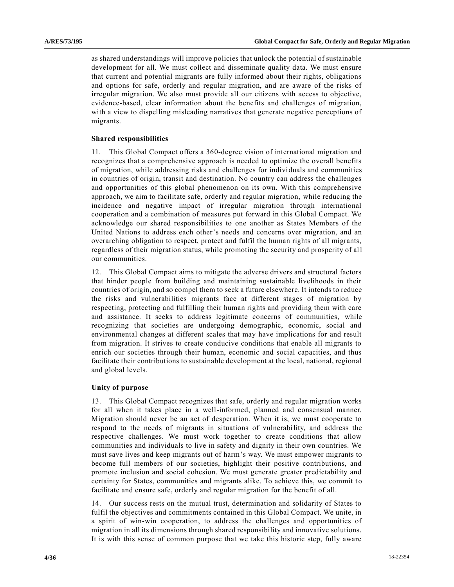as shared understandings will improve policies that unlock the potential of sustainable development for all. We must collect and disseminate quality data. We must ensure that current and potential migrants are fully informed about their rights, obligations and options for safe, orderly and regular migration, and are aware of the risks of irregular migration. We also must provide all our citizens with access to objective, evidence-based, clear information about the benefits and challenges of migration, with a view to dispelling misleading narratives that generate negative perceptions of migrants.

#### **Shared responsibilities**

11. This Global Compact offers a 360-degree vision of international migration and recognizes that a comprehensive approach is needed to optimize the overall benefits of migration, while addressing risks and challenges for individuals and communities in countries of origin, transit and destination. No country can address the challenges and opportunities of this global phenomenon on its own. With this comprehensive approach, we aim to facilitate safe, orderly and regular migration, while reducing the incidence and negative impact of irregular migration through international cooperation and a combination of measures put forward in this Global Compact. We acknowledge our shared responsibilities to one another as States Members of the United Nations to address each other's needs and concerns over migration, and an overarching obligation to respect, protect and fulfil the human rights of all migrants, regardless of their migration status, while promoting the security and prosperity of all our communities.

12. This Global Compact aims to mitigate the adverse drivers and structural factors that hinder people from building and maintaining sustainable livelihoods in their countries of origin, and so compel them to seek a future elsewhere. It intends to reduce the risks and vulnerabilities migrants face at different stages of migration by respecting, protecting and fulfilling their human rights and providing them with care and assistance. It seeks to address legitimate concerns of communities, while recognizing that societies are undergoing demographic, economic, social and environmental changes at different scales that may have implications for and result from migration. It strives to create conducive conditions that enable all migrants to enrich our societies through their human, economic and social capacities, and thus facilitate their contributions to sustainable development at the local, national, regional and global levels.

#### **Unity of purpose**

13. This Global Compact recognizes that safe, orderly and regular migration works for all when it takes place in a well-informed, planned and consensual manner. Migration should never be an act of desperation. When it is, we must cooperate to respond to the needs of migrants in situations of vulnerability, and address the respective challenges. We must work together to create conditions that allow communities and individuals to live in safety and dignity in their own countries. We must save lives and keep migrants out of harm's way. We must empower migrants to become full members of our societies, highlight their positive contributions, and promote inclusion and social cohesion. We must generate greater predictability and certainty for States, communities and migrants alike. To achieve this, we commit to facilitate and ensure safe, orderly and regular migration for the benefit of all.

14. Our success rests on the mutual trust, determination and solidarity of States to fulfil the objectives and commitments contained in this Global Compact. We unite, in a spirit of win-win cooperation, to address the challenges and opportunities of migration in all its dimensions through shared responsibility and innovative solutions. It is with this sense of common purpose that we take this historic step, fully aware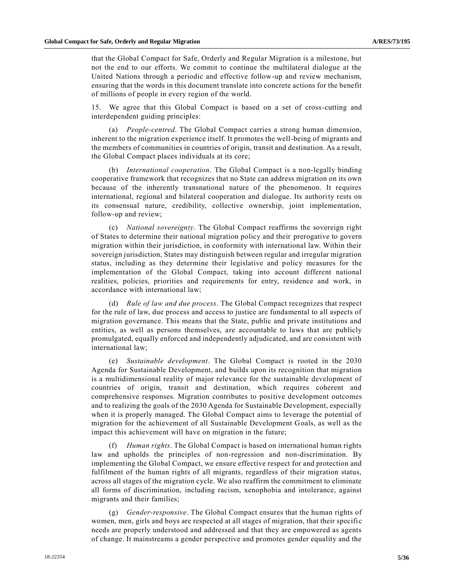that the Global Compact for Safe, Orderly and Regular Migration is a milestone, but not the end to our efforts. We commit to continue the multilateral dialogue at the United Nations through a periodic and effective follow-up and review mechanism, ensuring that the words in this document translate into concrete actions for the benefit of millions of people in every region of the world.

15. We agree that this Global Compact is based on a set of cross-cutting and interdependent guiding principles:

(a) *People-centred*. The Global Compact carries a strong human dimension, inherent to the migration experience itself. It promotes the well-being of migrants and the members of communities in countries of origin, transit and destination. As a result, the Global Compact places individuals at its core;

(b) *International cooperation*. The Global Compact is a non-legally binding cooperative framework that recognizes that no State can address migration on its own because of the inherently transnational nature of the phenomenon. It requires international, regional and bilateral cooperation and dialogue. Its authority rests on its consensual nature, credibility, collective ownership, joint implementation, follow-up and review;

(c) *National sovereignty*. The Global Compact reaffirms the sovereign right of States to determine their national migration policy and their prerogative to govern migration within their jurisdiction, in conformity with international law. Within their sovereign jurisdiction, States may distinguish between regular and irregular migration status, including as they determine their legislative and policy measures for the implementation of the Global Compact, taking into account different national realities, policies, priorities and requirements for entry, residence and work, in accordance with international law;

(d) *Rule of law and due process*. The Global Compact recognizes that respect for the rule of law, due process and access to justice are fundamental to all aspects of migration governance. This means that the State, public and private institutions and entities, as well as persons themselves, are accountable to laws that are publicly promulgated, equally enforced and independently adjudicated, and are consistent with international law;

(e) *Sustainable development*. The Global Compact is rooted in the 2030 Agenda for Sustainable Development, and builds upon its recognition that migration is a multidimensional reality of major relevance for the sustainable development of countries of origin, transit and destination, which requires coherent and comprehensive responses. Migration contributes to positive development outcomes and to realizing the goals of the 2030 Agenda for Sustainable Development, especially when it is properly managed. The Global Compact aims to leverage the potential of migration for the achievement of all Sustainable Development Goals, as well as the impact this achievement will have on migration in the future;

*Human rights*. The Global Compact is based on international human rights law and upholds the principles of non-regression and non-discrimination. By implementing the Global Compact, we ensure effective respect for and protection and fulfilment of the human rights of all migrants, regardless of their migration status, across all stages of the migration cycle. We also reaffirm the commitment to eliminate all forms of discrimination, including racism, xenophobia and intolerance, against migrants and their families;

(g) *Gender-responsive*. The Global Compact ensures that the human rights of women, men, girls and boys are respected at all stages of migration, that their specifi c needs are properly understood and addressed and that they are empowered as agents of change. It mainstreams a gender perspective and promotes gender equality and the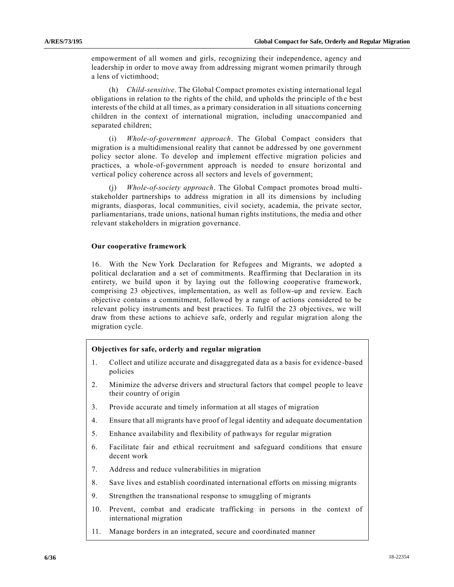empowerment of all women and girls, recognizing their independence, agency and leadership in order to move away from addressing migrant women primarily through a lens of victimhood;

(h) *Child-sensitive*. The Global Compact promotes existing international legal obligations in relation to the rights of the child, and upholds the principle of th e best interests of the child at all times, as a primary consideration in all situations concerning children in the context of international migration, including unaccompanied and separated children;

(i) *Whole-of-government approach*. The Global Compact considers that migration is a multidimensional reality that cannot be addressed by one government policy sector alone. To develop and implement effective migration policies and practices, a whole-of-government approach is needed to ensure horizontal and vertical policy coherence across all sectors and levels of government;

(j) *Whole-of-society approach*. The Global Compact promotes broad multistakeholder partnerships to address migration in all its dimensions by including migrants, diasporas, local communities, civil society, academia, the private sector, parliamentarians, trade unions, national human rights institutions, the media and other relevant stakeholders in migration governance.

#### **Our cooperative framework**

16. With the New York Declaration for Refugees and Migrants, we adopted a political declaration and a set of commitments. Reaffirming that Declaration in its entirety, we build upon it by laying out the following cooperative framework, comprising 23 objectives, implementation, as well as follow-up and review. Each objective contains a commitment, followed by a range of actions considered to be relevant policy instruments and best practices. To fulfil the 23 objectives, we will draw from these actions to achieve safe, orderly and regular migration along the migration cycle.

#### **Objectives for safe, orderly and regular migration**

- 1. Collect and utilize accurate and disaggregated data as a basis for evidence -based policies
- 2. Minimize the adverse drivers and structural factors that compel people to leave their country of origin
- 3. Provide accurate and timely information at all stages of migration
- 4. Ensure that all migrants have proof of legal identity and adequate documentation
- 5. Enhance availability and flexibility of pathways for regular migration
- 6. Facilitate fair and ethical recruitment and safeguard conditions that ensure decent work
- 7. Address and reduce vulnerabilities in migration
- 8. Save lives and establish coordinated international efforts on missing migrants
- 9. Strengthen the transnational response to smuggling of migrants
- 10. Prevent, combat and eradicate trafficking in persons in the context of international migration
- 11. Manage borders in an integrated, secure and coordinated manner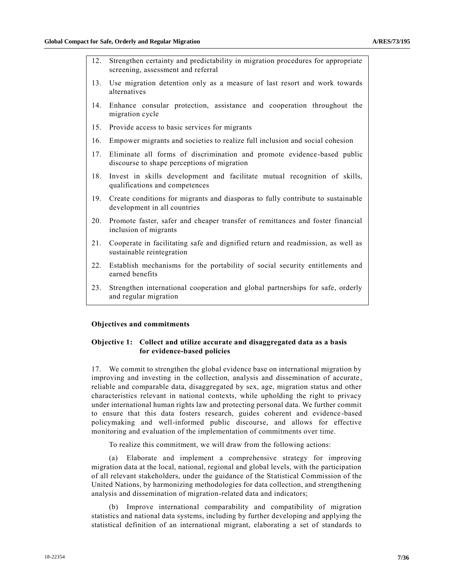- 12. Strengthen certainty and predictability in migration procedures for appropriate screening, assessment and referral
- 13. Use migration detention only as a measure of last resort and work towards alternatives
- 14. Enhance consular protection, assistance and cooperation throughout the migration cycle
- 15. Provide access to basic services for migrants
- 16. Empower migrants and societies to realize full inclusion and social cohesion
- 17. Eliminate all forms of discrimination and promote evidence-based public discourse to shape perceptions of migration
- 18. Invest in skills development and facilitate mutual recognition of skills, qualifications and competences
- 19. Create conditions for migrants and diasporas to fully contribute to sustainable development in all countries
- 20. Promote faster, safer and cheaper transfer of remittances and foster financial inclusion of migrants
- 21. Cooperate in facilitating safe and dignified return and readmission, as well as sustainable reintegration
- 22. Establish mechanisms for the portability of social security entitlements and earned benefits
- 23. Strengthen international cooperation and global partnerships for safe, orderly and regular migration

#### **Objectives and commitments**

## **Objective 1: Collect and utilize accurate and disaggregated data as a basis for evidence-based policies**

17. We commit to strengthen the global evidence base on international migration by improving and investing in the collection, analysis and dissemination of accurate , reliable and comparable data, disaggregated by sex, age, migration status and other characteristics relevant in national contexts, while upholding the right to privacy under international human rights law and protecting personal data. We further commit to ensure that this data fosters research, guides coherent and evidence -based policymaking and well-informed public discourse, and allows for effective monitoring and evaluation of the implementation of commitments over time.

To realize this commitment, we will draw from the following actions:

(a) Elaborate and implement a comprehensive strategy for improving migration data at the local, national, regional and global levels, with the participation of all relevant stakeholders, under the guidance of the Statistical Commission of the United Nations, by harmonizing methodologies for data collection, and strengthening analysis and dissemination of migration-related data and indicators;

(b) Improve international comparability and compatibility of migration statistics and national data systems, including by further developing and applying the statistical definition of an international migrant, elaborating a set of standards to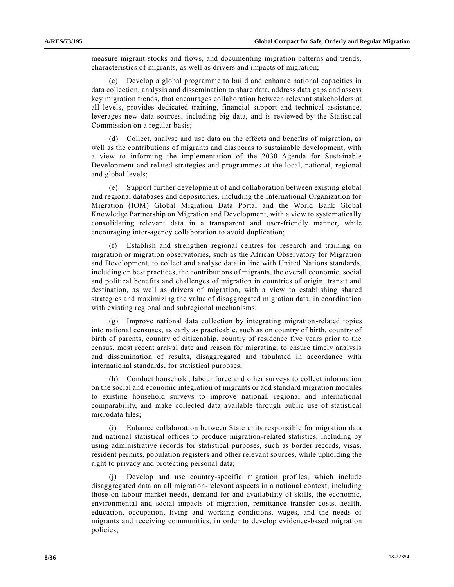measure migrant stocks and flows, and documenting migration patterns and trends, characteristics of migrants, as well as drivers and impacts of migration;

(c) Develop a global programme to build and enhance national capacities in data collection, analysis and dissemination to share data, address data gaps and assess key migration trends, that encourages collaboration between relevant stakeholders at all levels, provides dedicated training, financial support and technical assistance, leverages new data sources, including big data, and is reviewed by the Statistical Commission on a regular basis;

(d) Collect, analyse and use data on the effects and benefits of migration, as well as the contributions of migrants and diasporas to sustainable development, with a view to informing the implementation of the 2030 Agenda for Sustainable Development and related strategies and programmes at the local, national, regional and global levels;

(e) Support further development of and collaboration between existing global and regional databases and depositories, including the International Organization for Migration (IOM) Global Migration Data Portal and the World Bank Global Knowledge Partnership on Migration and Development, with a view to systematically consolidating relevant data in a transparent and user-friendly manner, while encouraging inter-agency collaboration to avoid duplication;

(f) Establish and strengthen regional centres for research and training on migration or migration observatories, such as the African Observatory for Migration and Development, to collect and analyse data in line with United Nations standards, including on best practices, the contributions of migrants, the overall economic, social and political benefits and challenges of migration in countries of origin, transit and destination, as well as drivers of migration, with a view to establishing shared strategies and maximizing the value of disaggregated migration data, in coordination with existing regional and subregional mechanisms;

(g) Improve national data collection by integrating migration-related topics into national censuses, as early as practicable, such as on country of birth, country of birth of parents, country of citizenship, country of residence five years prior to the census, most recent arrival date and reason for migrating, to ensure timely analysis and dissemination of results, disaggregated and tabulated in accordance with international standards, for statistical purposes;

(h) Conduct household, labour force and other surveys to collect information on the social and economic integration of migrants or add standard migration modules to existing household surveys to improve national, regional and international comparability, and make collected data available through public use of statistical microdata files;

(i) Enhance collaboration between State units responsible for migration data and national statistical offices to produce migration-related statistics, including by using administrative records for statistical purposes, such as border records, visas, resident permits, population registers and other relevant sources, while upholding the right to privacy and protecting personal data;

Develop and use country-specific migration profiles, which include disaggregated data on all migration-relevant aspects in a national context, including those on labour market needs, demand for and availability of skills, the economic, environmental and social impacts of migration, remittance transfer costs, health, education, occupation, living and working conditions, wages, and the needs of migrants and receiving communities, in order to develop evidence-based migration policies;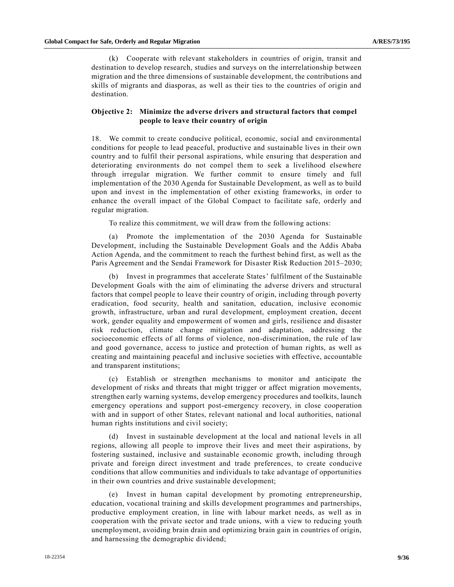(k) Cooperate with relevant stakeholders in countries of origin, transit and destination to develop research, studies and surveys on the interrelationship between migration and the three dimensions of sustainable development, the contributions and skills of migrants and diasporas, as well as their ties to the countries of origin and destination.

## **Objective 2: Minimize the adverse drivers and structural factors that compel people to leave their country of origin**

18. We commit to create conducive political, economic, social and environmental conditions for people to lead peaceful, productive and sustainable lives in their own country and to fulfil their personal aspirations, while ensuring that desperation and deteriorating environments do not compel them to seek a livelihood elsewhere through irregular migration. We further commit to ensure timely and full implementation of the 2030 Agenda for Sustainable Development, as well as to build upon and invest in the implementation of other existing frameworks, in order to enhance the overall impact of the Global Compact to facilitate safe, orderly and regular migration.

To realize this commitment, we will draw from the following actions:

(a) Promote the implementation of the 2030 Agenda for Sustainable Development, including the Sustainable Development Goals and the Addis Ababa Action Agenda, and the commitment to reach the furthest behind first, as well as the Paris Agreement and the Sendai Framework for Disaster Risk Reduction 2015–2030;

(b) Invest in programmes that accelerate States' fulfilment of the Sustainable Development Goals with the aim of eliminating the adverse drivers and structural factors that compel people to leave their country of origin, including through poverty eradication, food security, health and sanitation, education, inclusive economic growth, infrastructure, urban and rural development, employment creation, decent work, gender equality and empowerment of women and girls, resilience and disaster risk reduction, climate change mitigation and adaptation, addressing the socioeconomic effects of all forms of violence, non-discrimination, the rule of law and good governance, access to justice and protection of human rights, as well as creating and maintaining peaceful and inclusive societies with effective, accountable and transparent institutions;

(c) Establish or strengthen mechanisms to monitor and anticipate the development of risks and threats that might trigger or affect migration movements, strengthen early warning systems, develop emergency procedures and toolkits, launch emergency operations and support post-emergency recovery, in close cooperation with and in support of other States, relevant national and local authorities, national human rights institutions and civil society;

(d) Invest in sustainable development at the local and national levels in all regions, allowing all people to improve their lives and meet their aspirations, by fostering sustained, inclusive and sustainable economic growth, including through private and foreign direct investment and trade preferences, to create conducive conditions that allow communities and individuals to take advantage of opportunities in their own countries and drive sustainable development;

(e) Invest in human capital development by promoting entrepreneurship, education, vocational training and skills development programmes and partnerships, productive employment creation, in line with labour market needs, as well as in cooperation with the private sector and trade unions, with a view to reducing youth unemployment, avoiding brain drain and optimizing brain gain in countries of origin, and harnessing the demographic dividend;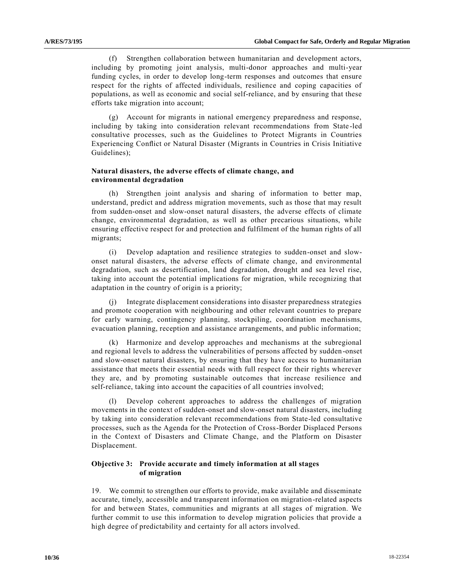(f) Strengthen collaboration between humanitarian and development actors, including by promoting joint analysis, multi-donor approaches and multi-year funding cycles, in order to develop long-term responses and outcomes that ensure respect for the rights of affected individuals, resilience and coping capacities of populations, as well as economic and social self-reliance, and by ensuring that these efforts take migration into account;

(g) Account for migrants in national emergency preparedness and response, including by taking into consideration relevant recommendations from State -led consultative processes, such as the Guidelines to Protect Migrants in Countries Experiencing Conflict or Natural Disaster (Migrants in Countries in Crisis Initiative Guidelines);

## **Natural disasters, the adverse effects of climate change, and environmental degradation**

(h) Strengthen joint analysis and sharing of information to better map, understand, predict and address migration movements, such as those that may result from sudden-onset and slow-onset natural disasters, the adverse effects of climate change, environmental degradation, as well as other precarious situations, while ensuring effective respect for and protection and fulfilment of the human rights of all migrants;

(i) Develop adaptation and resilience strategies to sudden-onset and slowonset natural disasters, the adverse effects of climate change, and environmental degradation, such as desertification, land degradation, drought and sea level rise, taking into account the potential implications for migration, while recognizing that adaptation in the country of origin is a priority;

(j) Integrate displacement considerations into disaster preparedness strategies and promote cooperation with neighbouring and other relevant countries to prepare for early warning, contingency planning, stockpiling, coordination mechanisms, evacuation planning, reception and assistance arrangements, and public information;

(k) Harmonize and develop approaches and mechanisms at the subregional and regional levels to address the vulnerabilities of persons affected by sudden-onset and slow-onset natural disasters, by ensuring that they have access to humanitarian assistance that meets their essential needs with full respect for their rights wherever they are, and by promoting sustainable outcomes that increase resilience and self-reliance, taking into account the capacities of all countries involved;

Develop coherent approaches to address the challenges of migration movements in the context of sudden-onset and slow-onset natural disasters, including by taking into consideration relevant recommendations from State-led consultative processes, such as the Agenda for the Protection of Cross-Border Displaced Persons in the Context of Disasters and Climate Change, and the Platform on Disaster Displacement.

#### **Objective 3: Provide accurate and timely information at all stages of migration**

19. We commit to strengthen our efforts to provide, make available and disseminate accurate, timely, accessible and transparent information on migration-related aspects for and between States, communities and migrants at all stages of migration. We further commit to use this information to develop migration policies that provide a high degree of predictability and certainty for all actors involved.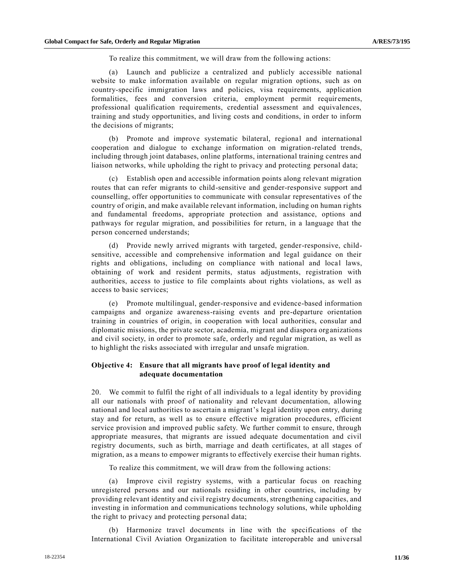To realize this commitment, we will draw from the following actions:

(a) Launch and publicize a centralized and publicly accessible national website to make information available on regular migration options, such as on country-specific immigration laws and policies, visa requirements, application formalities, fees and conversion criteria, employment permit requirements, professional qualification requirements, credential assessment and equivalences, training and study opportunities, and living costs and conditions, in order to inform the decisions of migrants;

(b) Promote and improve systematic bilateral, regional and international cooperation and dialogue to exchange information on migration-related trends, including through joint databases, online platforms, international training centres and liaison networks, while upholding the right to privacy and protecting personal data;

(c) Establish open and accessible information points along relevant migration routes that can refer migrants to child-sensitive and gender-responsive support and counselling, offer opportunities to communicate with consular representatives of the country of origin, and make available relevant information, including on human rights and fundamental freedoms, appropriate protection and assistance, options and pathways for regular migration, and possibilities for return, in a language that the person concerned understands;

(d) Provide newly arrived migrants with targeted, gender-responsive, childsensitive, accessible and comprehensive information and legal guidance on their rights and obligations, including on compliance with national and local laws, obtaining of work and resident permits, status adjustments, registration with authorities, access to justice to file complaints about rights violations, as well as access to basic services;

(e) Promote multilingual, gender-responsive and evidence-based information campaigns and organize awareness-raising events and pre-departure orientation training in countries of origin, in cooperation with local authorities, consular and diplomatic missions, the private sector, academia, migrant and diaspora organizations and civil society, in order to promote safe, orderly and regular migration, as well as to highlight the risks associated with irregular and unsafe migration.

### **Objective 4: Ensure that all migrants have proof of legal identity and adequate documentation**

20. We commit to fulfil the right of all individuals to a legal identity by providing all our nationals with proof of nationality and relevant documentation, allowing national and local authorities to ascertain a migrant's legal identity upon entry, during stay and for return, as well as to ensure effective migration procedures, efficient service provision and improved public safety. We further commit to ensure, through appropriate measures, that migrants are issued adequate documentation and civil registry documents, such as birth, marriage and death certificates, at all stages of migration, as a means to empower migrants to effectively exercise their human rights.

To realize this commitment, we will draw from the following actions:

(a) Improve civil registry systems, with a particular focus on reaching unregistered persons and our nationals residing in other countries, including by providing relevant identity and civil registry documents, strengthening capacities, and investing in information and communications technology solutions, while upholding the right to privacy and protecting personal data;

(b) Harmonize travel documents in line with the specifications of the International Civil Aviation Organization to facilitate interoperable and unive rsal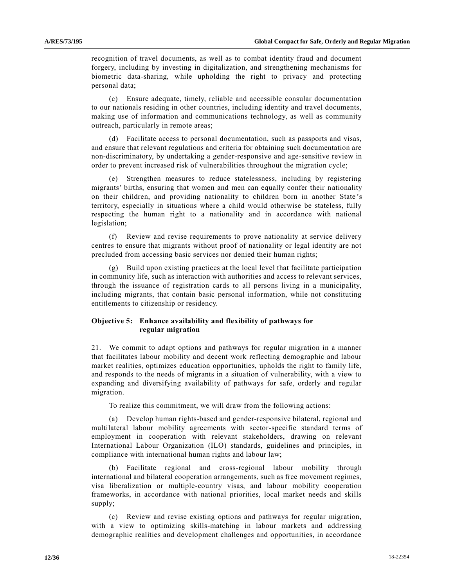recognition of travel documents, as well as to combat identity fraud and document forgery, including by investing in digitalization, and strengthening mechanisms for biometric data-sharing, while upholding the right to privacy and protecting personal data;

(c) Ensure adequate, timely, reliable and accessible consular documentation to our nationals residing in other countries, including identity and travel documents, making use of information and communications technology, as well as community outreach, particularly in remote areas;

(d) Facilitate access to personal documentation, such as passports and visas, and ensure that relevant regulations and criteria for obtaining such documentation are non-discriminatory, by undertaking a gender-responsive and age-sensitive review in order to prevent increased risk of vulnerabilities throughout the migration cycle;

(e) Strengthen measures to reduce statelessness, including by registering migrants' births, ensuring that women and men can equally confer their nationality on their children, and providing nationality to children born in another State 's territory, especially in situations where a child would otherwise be stateless, fully respecting the human right to a nationality and in accordance with national legislation;

(f) Review and revise requirements to prove nationality at service delivery centres to ensure that migrants without proof of nationality or legal identity are not precluded from accessing basic services nor denied their human rights;

(g) Build upon existing practices at the local level that facilitate participation in community life, such as interaction with authorities and access to relevant services, through the issuance of registration cards to all persons living in a municipality, including migrants, that contain basic personal information, while not constituting entitlements to citizenship or residency.

## **Objective 5: Enhance availability and flexibility of pathways for regular migration**

21. We commit to adapt options and pathways for regular migration in a manner that facilitates labour mobility and decent work reflecting demographic and labour market realities, optimizes education opportunities, upholds the right to family life, and responds to the needs of migrants in a situation of vulnerability, with a view to expanding and diversifying availability of pathways for safe, orderly and regular migration.

To realize this commitment, we will draw from the following actions:

(a) Develop human rights-based and gender-responsive bilateral, regional and multilateral labour mobility agreements with sector-specific standard terms of employment in cooperation with relevant stakeholders, drawing on relevant International Labour Organization (ILO) standards, guidelines and principles, in compliance with international human rights and labour law;

(b) Facilitate regional and cross-regional labour mobility through international and bilateral cooperation arrangements, such as free movement regimes, visa liberalization or multiple-country visas, and labour mobility cooperation frameworks, in accordance with national priorities, local market needs and skills supply;

(c) Review and revise existing options and pathways for regular migration, with a view to optimizing skills-matching in labour markets and addressing demographic realities and development challenges and opportunities, in accordance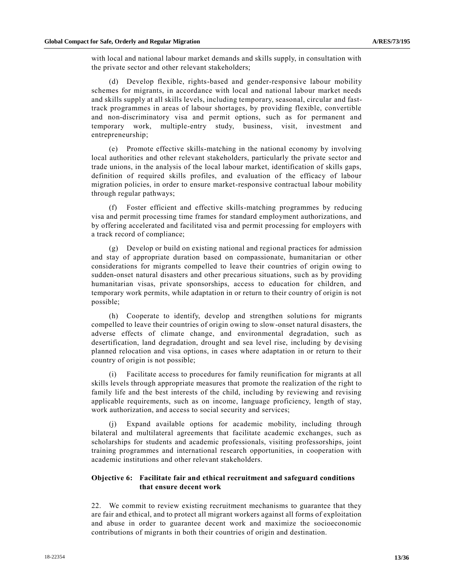with local and national labour market demands and skills supply, in consultation with the private sector and other relevant stakeholders;

(d) Develop flexible, rights-based and gender-responsive labour mobility schemes for migrants, in accordance with local and national labour market needs and skills supply at all skills levels, including temporary, seasonal, circular and fasttrack programmes in areas of labour shortages, by providing flexible, convertible and non-discriminatory visa and permit options, such as for permanent and temporary work, multiple-entry study, business, visit, investment and entrepreneurship;

(e) Promote effective skills-matching in the national economy by involving local authorities and other relevant stakeholders, particularly the private sector and trade unions, in the analysis of the local labour market, identification of skills gaps, definition of required skills profiles, and evaluation of the efficacy of labour migration policies, in order to ensure market-responsive contractual labour mobility through regular pathways;

(f) Foster efficient and effective skills-matching programmes by reducing visa and permit processing time frames for standard employment authorizations, and by offering accelerated and facilitated visa and permit processing for employers with a track record of compliance;

(g) Develop or build on existing national and regional practices for admission and stay of appropriate duration based on compassionate, humanitarian or other considerations for migrants compelled to leave their countries of origin owing to sudden-onset natural disasters and other precarious situations, such as by providing humanitarian visas, private sponsorships, access to education for children, and temporary work permits, while adaptation in or return to their country of origin is not possible;

(h) Cooperate to identify, develop and strengthen solutions for migrants compelled to leave their countries of origin owing to slow-onset natural disasters, the adverse effects of climate change, and environmental degradation, such as desertification, land degradation, drought and sea level rise, including by de vising planned relocation and visa options, in cases where adaptation in or return to their country of origin is not possible;

(i) Facilitate access to procedures for family reunification for migrants at all skills levels through appropriate measures that promote the realization of the right to family life and the best interests of the child, including by reviewing and revising applicable requirements, such as on income, language proficiency, length of stay, work authorization, and access to social security and services;

Expand available options for academic mobility, including through bilateral and multilateral agreements that facilitate academic exchanges, such as scholarships for students and academic professionals, visiting professorships, joint training programmes and international research opportunities, in cooperation with academic institutions and other relevant stakeholders.

## **Objective 6: Facilitate fair and ethical recruitment and safeguard conditions that ensure decent work**

22. We commit to review existing recruitment mechanisms to guarantee that they are fair and ethical, and to protect all migrant workers against all forms of exploitation and abuse in order to guarantee decent work and maximize the socioeconomic contributions of migrants in both their countries of origin and destination.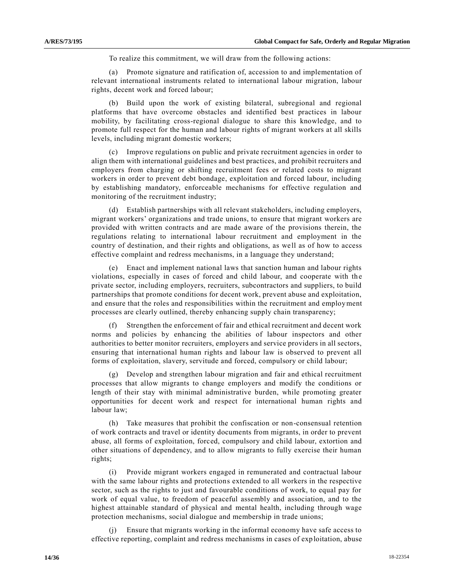To realize this commitment, we will draw from the following actions:

(a) Promote signature and ratification of, accession to and implementation of relevant international instruments related to international labour migration, labour rights, decent work and forced labour;

(b) Build upon the work of existing bilateral, subregional and regional platforms that have overcome obstacles and identified best practices in labour mobility, by facilitating cross-regional dialogue to share this knowledge, and to promote full respect for the human and labour rights of migrant workers at all skills levels, including migrant domestic workers;

(c) Improve regulations on public and private recruitment agencies in order to align them with international guidelines and best practices, and prohibit recruiters and employers from charging or shifting recruitment fees or related costs to migrant workers in order to prevent debt bondage, exploitation and forced labour, including by establishing mandatory, enforceable mechanisms for effective regulation and monitoring of the recruitment industry;

(d) Establish partnerships with all relevant stakeholders, including employers, migrant workers' organizations and trade unions, to ensure that migrant workers are provided with written contracts and are made aware of the provisions therein, the regulations relating to international labour recruitment and employment in the country of destination, and their rights and obligations, as we ll as of how to access effective complaint and redress mechanisms, in a language they understand;

(e) Enact and implement national laws that sanction human and labour rights violations, especially in cases of forced and child labour, and cooperate with the private sector, including employers, recruiters, subcontractors and suppliers, to build partnerships that promote conditions for decent work, prevent abuse and exploitation, and ensure that the roles and responsibilities within the recruitment and employment processes are clearly outlined, thereby enhancing supply chain transparency;

(f) Strengthen the enforcement of fair and ethical recruitment and decent work norms and policies by enhancing the abilities of labour inspectors and other authorities to better monitor recruiters, employers and service providers in all sectors, ensuring that international human rights and labour law is observed to prevent all forms of exploitation, slavery, servitude and forced, compulsory or child labour;

(g) Develop and strengthen labour migration and fair and ethical recruitment processes that allow migrants to change employers and modify the conditions or length of their stay with minimal administrative burden, while promoting greater opportunities for decent work and respect for international human rights and labour law;

(h) Take measures that prohibit the confiscation or non-consensual retention of work contracts and travel or identity documents from migrants, in order to prevent abuse, all forms of exploitation, forced, compulsory and child labour, extortion and other situations of dependency, and to allow migrants to fully exercise their human rights;

(i) Provide migrant workers engaged in remunerated and contractual labour with the same labour rights and protections extended to all workers in the respective sector, such as the rights to just and favourable conditions of work, to equal pay for work of equal value, to freedom of peaceful assembly and association, and to the highest attainable standard of physical and mental health, including through wage protection mechanisms, social dialogue and membership in trade unions;

(j) Ensure that migrants working in the informal economy have safe access to effective reporting, complaint and redress mechanisms in cases of exploitation, abuse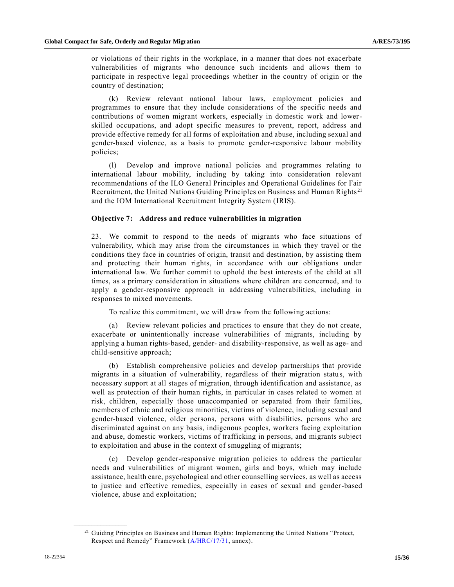or violations of their rights in the workplace, in a manner that does not exacerbate vulnerabilities of migrants who denounce such incidents and allows them to participate in respective legal proceedings whether in the country of origin or the country of destination;

(k) Review relevant national labour laws, employment policies and programmes to ensure that they include considerations of the specific needs and contributions of women migrant workers, especially in domestic work and lowerskilled occupations, and adopt specific measures to prevent, report, address and provide effective remedy for all forms of exploitation and abuse, including sexual and gender-based violence, as a basis to promote gender-responsive labour mobility policies;

(l) Develop and improve national policies and programmes relating to international labour mobility, including by taking into consideration relevant recommendations of the ILO General Principles and Operational Guidelines for Fair Recruitment, the United Nations Guiding Principles on Business and Human Rights<sup>21</sup> and the IOM International Recruitment Integrity System (IRIS).

#### **Objective 7: Address and reduce vulnerabilities in migration**

23. We commit to respond to the needs of migrants who face situations of vulnerability, which may arise from the circumstances in which they travel or the conditions they face in countries of origin, transit and destination, by assisting them and protecting their human rights, in accordance with our obligations under international law. We further commit to uphold the best interests of the child at all times, as a primary consideration in situations where children are concerned, and to apply a gender-responsive approach in addressing vulnerabilities, including in responses to mixed movements.

To realize this commitment, we will draw from the following actions:

(a) Review relevant policies and practices to ensure that they do not create, exacerbate or unintentionally increase vulnerabilities of migrants, including by applying a human rights-based, gender- and disability-responsive, as well as age- and child-sensitive approach;

(b) Establish comprehensive policies and develop partnerships that provide migrants in a situation of vulnerability, regardless of their migration status, with necessary support at all stages of migration, through identification and assistance, as well as protection of their human rights, in particular in cases related to women at risk, children, especially those unaccompanied or separated from their families, members of ethnic and religious minorities, victims of violence, including sexual and gender-based violence, older persons, persons with disabilities, persons who are discriminated against on any basis, indigenous peoples, workers facing exploitation and abuse, domestic workers, victims of trafficking in persons, and migrants subject to exploitation and abuse in the context of smuggling of migrants;

(c) Develop gender-responsive migration policies to address the particular needs and vulnerabilities of migrant women, girls and boys, which may include assistance, health care, psychological and other counselling services, as well as access to justice and effective remedies, especially in cases of sexual and gender-based violence, abuse and exploitation;

**\_\_\_\_\_\_\_\_\_\_\_\_\_\_\_\_\_\_**

<sup>&</sup>lt;sup>21</sup> Guiding Principles on Business and Human Rights: Implementing the United Nations "Protect, Respect and Remedy" Framework [\(A/HRC/17/31,](https://undocs.org/A/HRC/17/31) annex).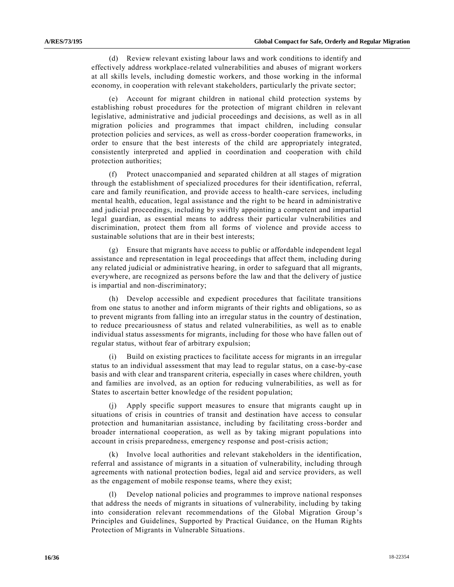(d) Review relevant existing labour laws and work conditions to identify and effectively address workplace-related vulnerabilities and abuses of migrant workers at all skills levels, including domestic workers, and those working in the informal economy, in cooperation with relevant stakeholders, particularly the private sector;

(e) Account for migrant children in national child protection systems by establishing robust procedures for the protection of migrant children in relevant legislative, administrative and judicial proceedings and decisions, as well as in all migration policies and programmes that impact children, including consular protection policies and services, as well as cross-border cooperation frameworks, in order to ensure that the best interests of the child are appropriately integrated, consistently interpreted and applied in coordination and cooperation with child protection authorities;

(f) Protect unaccompanied and separated children at all stages of migration through the establishment of specialized procedures for their identification, referral, care and family reunification, and provide access to health-care services, including mental health, education, legal assistance and the right to be heard in administrative and judicial proceedings, including by swiftly appointing a competent and impartial legal guardian, as essential means to address their particular vulnerabilities and discrimination, protect them from all forms of violence and provide access to sustainable solutions that are in their best interests;

(g) Ensure that migrants have access to public or affordable independent legal assistance and representation in legal proceedings that affect them, including during any related judicial or administrative hearing, in order to safeguard that all migrants, everywhere, are recognized as persons before the law and that the delivery of justice is impartial and non-discriminatory;

(h) Develop accessible and expedient procedures that facilitate transitions from one status to another and inform migrants of their rights and obligations, so as to prevent migrants from falling into an irregular status in the country of destination, to reduce precariousness of status and related vulnerabilities, as well as to enable individual status assessments for migrants, including for those who have fallen out of regular status, without fear of arbitrary expulsion;

(i) Build on existing practices to facilitate access for migrants in an irregular status to an individual assessment that may lead to regular status, on a case-by-case basis and with clear and transparent criteria, especially in cases where children, youth and families are involved, as an option for reducing vulnerabilities, as well as for States to ascertain better knowledge of the resident population;

(j) Apply specific support measures to ensure that migrants caught up in situations of crisis in countries of transit and destination have access to consular protection and humanitarian assistance, including by facilitating cross-border and broader international cooperation, as well as by taking migrant populations into account in crisis preparedness, emergency response and post-crisis action;

(k) Involve local authorities and relevant stakeholders in the identification, referral and assistance of migrants in a situation of vulnerability, including through agreements with national protection bodies, legal aid and service providers, as well as the engagement of mobile response teams, where they exist;

Develop national policies and programmes to improve national responses that address the needs of migrants in situations of vulnerability, including by taking into consideration relevant recommendations of the Global Migration Group 's Principles and Guidelines, Supported by Practical Guidance, on the Human Rights Protection of Migrants in Vulnerable Situations.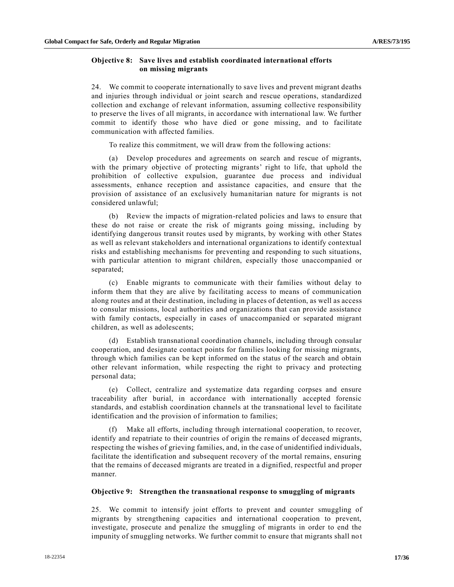## **Objective 8: Save lives and establish coordinated international efforts on missing migrants**

24. We commit to cooperate internationally to save lives and prevent migrant deaths and injuries through individual or joint search and rescue operations, standardized collection and exchange of relevant information, assuming collective responsibility to preserve the lives of all migrants, in accordance with international law. We further commit to identify those who have died or gone missing, and to facilitate communication with affected families.

To realize this commitment, we will draw from the following actions:

(a) Develop procedures and agreements on search and rescue of migrants, with the primary objective of protecting migrants' right to life, that uphold the prohibition of collective expulsion, guarantee due process and individual assessments, enhance reception and assistance capacities, and ensure that the provision of assistance of an exclusively humanitarian nature for migrants is not considered unlawful;

(b) Review the impacts of migration-related policies and laws to ensure that these do not raise or create the risk of migrants going missing, including by identifying dangerous transit routes used by migrants, by working with other States as well as relevant stakeholders and international organizations to identify contextual risks and establishing mechanisms for preventing and responding to such situations, with particular attention to migrant children, especially those unaccompanied or separated;

(c) Enable migrants to communicate with their families without delay to inform them that they are alive by facilitating access to means of communication along routes and at their destination, including in places of detention, as well as access to consular missions, local authorities and organizations that can provide assistance with family contacts, especially in cases of unaccompanied or separated migrant children, as well as adolescents;

(d) Establish transnational coordination channels, including through consular cooperation, and designate contact points for families looking for missing migrants, through which families can be kept informed on the status of the search and obtain other relevant information, while respecting the right to privacy and protecting personal data;

(e) Collect, centralize and systematize data regarding corpses and ensure traceability after burial, in accordance with internationally accepted forensic standards, and establish coordination channels at the transnational level to facilitate identification and the provision of information to families;

(f) Make all efforts, including through international cooperation, to recover, identify and repatriate to their countries of origin the remains of deceased migrants, respecting the wishes of grieving families, and, in the case of unidentified individuals, facilitate the identification and subsequent recovery of the mortal remains, ensuring that the remains of deceased migrants are treated in a dignified, respectful and proper manner.

#### **Objective 9: Strengthen the transnational response to smuggling of migrants**

25. We commit to intensify joint efforts to prevent and counter smuggling of migrants by strengthening capacities and international cooperation to prevent, investigate, prosecute and penalize the smuggling of migrants in order to end the impunity of smuggling networks. We further commit to ensure that migrants shall no t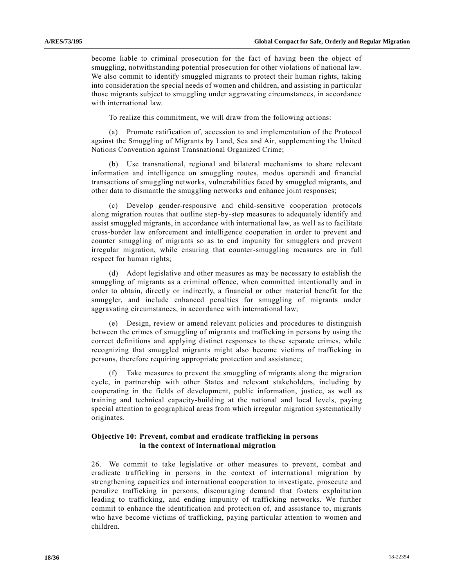become liable to criminal prosecution for the fact of having been the object of smuggling, notwithstanding potential prosecution for other violations of national law. We also commit to identify smuggled migrants to protect their human rights, taking into consideration the special needs of women and children, and assisting in particular those migrants subject to smuggling under aggravating circumstances, in accordance with international law.

To realize this commitment, we will draw from the following actions:

(a) Promote ratification of, accession to and implementation of the Protocol against the Smuggling of Migrants by Land, Sea and Air, supplementing the United Nations Convention against Transnational Organized Crime;

(b) Use transnational, regional and bilateral mechanisms to share relevant information and intelligence on smuggling routes, modus operandi and financial transactions of smuggling networks, vulnerabilities faced by smuggled migrants, and other data to dismantle the smuggling networks and enhance joint responses;

(c) Develop gender-responsive and child-sensitive cooperation protocols along migration routes that outline step-by-step measures to adequately identify and assist smuggled migrants, in accordance with international law, as well as to facilitate cross-border law enforcement and intelligence cooperation in order to prevent and counter smuggling of migrants so as to end impunity for smugglers and prevent irregular migration, while ensuring that counter-smuggling measures are in full respect for human rights;

(d) Adopt legislative and other measures as may be necessary to establish the smuggling of migrants as a criminal offence, when committed intentionally and in order to obtain, directly or indirectly, a financial or other material benefit for the smuggler, and include enhanced penalties for smuggling of migrants under aggravating circumstances, in accordance with international law;

(e) Design, review or amend relevant policies and procedures to distinguish between the crimes of smuggling of migrants and trafficking in persons by using the correct definitions and applying distinct responses to these separate crimes, while recognizing that smuggled migrants might also become victims of trafficking in persons, therefore requiring appropriate protection and assistance;

(f) Take measures to prevent the smuggling of migrants along the migration cycle, in partnership with other States and relevant stakeholders, including by cooperating in the fields of development, public information, justice, as well as training and technical capacity-building at the national and local levels, paying special attention to geographical areas from which irregular migration systematically originates.

## **Objective 10: Prevent, combat and eradicate trafficking in persons in the context of international migration**

26. We commit to take legislative or other measures to prevent, combat and eradicate trafficking in persons in the context of international migration by strengthening capacities and international cooperation to investigate, prosecute and penalize trafficking in persons, discouraging demand that fosters exploitation leading to trafficking, and ending impunity of trafficking networks. We further commit to enhance the identification and protection of, and assistance to, migrants who have become victims of trafficking, paying particular attention to women and children.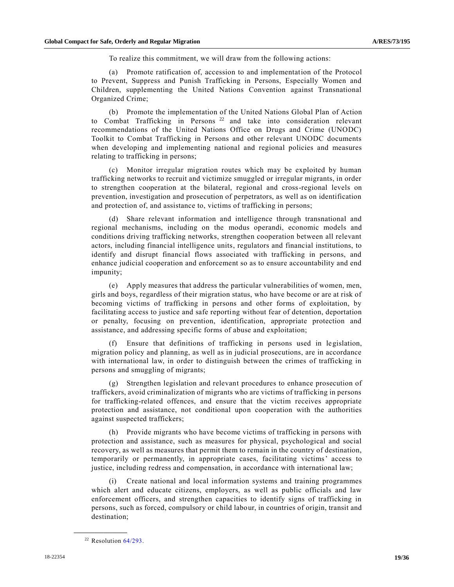To realize this commitment, we will draw from the following actions:

(a) Promote ratification of, accession to and implementation of the Protocol to Prevent, Suppress and Punish Trafficking in Persons, Especially Women and Children, supplementing the United Nations Convention against Transnational Organized Crime;

(b) Promote the implementation of the United Nations Global Plan of Action to Combat Trafficking in Persons<sup>22</sup> and take into consideration relevant recommendations of the United Nations Office on Drugs and Crime (UNODC) Toolkit to Combat Trafficking in Persons and other relevant UNODC documents when developing and implementing national and regional policies and measures relating to trafficking in persons;

(c) Monitor irregular migration routes which may be exploited by human trafficking networks to recruit and victimize smuggled or irregular migrants, in order to strengthen cooperation at the bilateral, regional and cross-regional levels on prevention, investigation and prosecution of perpetrators, as well as on identification and protection of, and assistance to, victims of trafficking in persons;

(d) Share relevant information and intelligence through transnational and regional mechanisms, including on the modus operandi, economic models and conditions driving trafficking networks, strengthen cooperation between all relevant actors, including financial intelligence units, regulators and financial institutions, to identify and disrupt financial flows associated with trafficking in persons, and enhance judicial cooperation and enforcement so as to ensure accountability and end impunity;

(e) Apply measures that address the particular vulnerabilities of women, men, girls and boys, regardless of their migration status, who have become or are at risk of becoming victims of trafficking in persons and other forms of exploitation, by facilitating access to justice and safe reporting without fear of detention, deportation or penalty, focusing on prevention, identification, appropriate protection and assistance, and addressing specific forms of abuse and exploitation;

(f) Ensure that definitions of trafficking in persons used in legislation, migration policy and planning, as well as in judicial prosecutions, are in accordance with international law, in order to distinguish between the crimes of trafficking in persons and smuggling of migrants;

(g) Strengthen legislation and relevant procedures to enhance prosecution of traffickers, avoid criminalization of migrants who are victims of trafficking in persons for trafficking-related offences, and ensure that the victim receives appropriate protection and assistance, not conditional upon cooperation with the authorities against suspected traffickers;

(h) Provide migrants who have become victims of trafficking in persons with protection and assistance, such as measures for physical, psychological and social recovery, as well as measures that permit them to remain in the country of destination, temporarily or permanently, in appropriate cases, facilitating victims' access to justice, including redress and compensation, in accordance with international law;

(i) Create national and local information systems and training programmes which alert and educate citizens, employers, as well as public officials and law enforcement officers, and strengthen capacities to identify signs of trafficking in persons, such as forced, compulsory or child labour, in countries of origin, transit and destination;

**\_\_\_\_\_\_\_\_\_\_\_\_\_\_\_\_\_\_**

 $22$  Resolution  $64/293$ .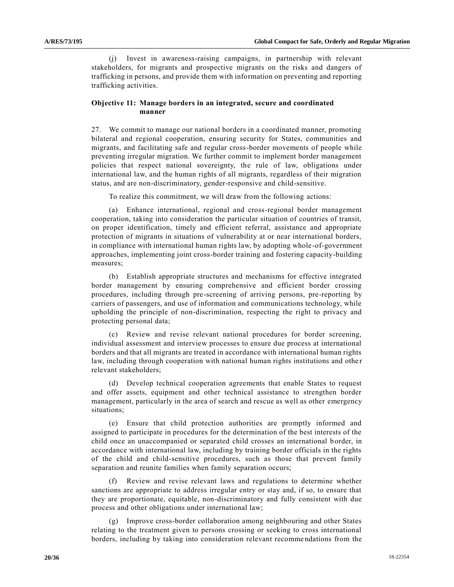(j) Invest in awareness-raising campaigns, in partnership with relevant stakeholders, for migrants and prospective migrants on the risks and dangers of trafficking in persons, and provide them with information on preventing and reporting trafficking activities.

#### **Objective 11: Manage borders in an integrated, secure and coordinated manner**

27. We commit to manage our national borders in a coordinated manner, promoting bilateral and regional cooperation, ensuring security for States, communities and migrants, and facilitating safe and regular cross-border movements of people while preventing irregular migration. We further commit to implement border management policies that respect national sovereignty, the rule of law, obligations under international law, and the human rights of all migrants, regardless of their migration status, and are non-discriminatory, gender-responsive and child-sensitive.

To realize this commitment, we will draw from the following actions:

(a) Enhance international, regional and cross-regional border management cooperation, taking into consideration the particular situation of countries of transit, on proper identification, timely and efficient referral, assistance and appropriate protection of migrants in situations of vulnerability at or near international borders, in compliance with international human rights law, by adopting whole-of-government approaches, implementing joint cross-border training and fostering capacity-building measures;

(b) Establish appropriate structures and mechanisms for effective integrated border management by ensuring comprehensive and efficient border crossing procedures, including through pre-screening of arriving persons, pre-reporting by carriers of passengers, and use of information and communications technology, while upholding the principle of non-discrimination, respecting the right to privacy and protecting personal data;

(c) Review and revise relevant national procedures for border screening, individual assessment and interview processes to ensure due process at international borders and that all migrants are treated in accordance with international human rights law, including through cooperation with national human rights institutions and other relevant stakeholders;

(d) Develop technical cooperation agreements that enable States to request and offer assets, equipment and other technical assistance to strengthen border management, particularly in the area of search and rescue as well as other emergency situations;

(e) Ensure that child protection authorities are promptly informed and assigned to participate in procedures for the determination of the best interests of the child once an unaccompanied or separated child crosses an international b order, in accordance with international law, including by training border officials in the rights of the child and child-sensitive procedures, such as those that prevent family separation and reunite families when family separation occurs;

(f) Review and revise relevant laws and regulations to determine whether sanctions are appropriate to address irregular entry or stay and, if so, to ensure that they are proportionate, equitable, non-discriminatory and fully consistent with due process and other obligations under international law;

(g) Improve cross-border collaboration among neighbouring and other States relating to the treatment given to persons crossing or seeking to cross international borders, including by taking into consideration relevant recomme ndations from the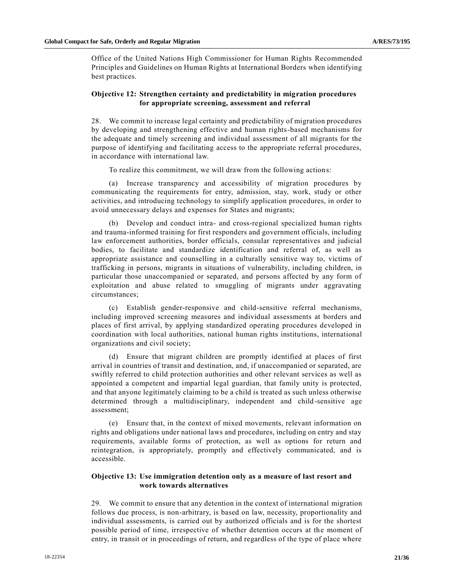Office of the United Nations High Commissioner for Human Rights Recommended Principles and Guidelines on Human Rights at International Borders when identifying best practices.

#### **Objective 12: Strengthen certainty and predictability in migration procedures for appropriate screening, assessment and referral**

28. We commit to increase legal certainty and predictability of migration procedures by developing and strengthening effective and human rights-based mechanisms for the adequate and timely screening and individual assessment of all migrants for the purpose of identifying and facilitating access to the appropriate referral procedures, in accordance with international law.

To realize this commitment, we will draw from the following actions:

(a) Increase transparency and accessibility of migration procedures by communicating the requirements for entry, admission, stay, work, study or other activities, and introducing technology to simplify application procedures, in order to avoid unnecessary delays and expenses for States and migrants;

(b) Develop and conduct intra- and cross-regional specialized human rights and trauma-informed training for first responders and government officials, including law enforcement authorities, border officials, consular representatives and judicial bodies, to facilitate and standardize identification and referral of, as well as appropriate assistance and counselling in a culturally sensitive way to, victims of trafficking in persons, migrants in situations of vulnerability, including children, in particular those unaccompanied or separated, and persons affected by any form of exploitation and abuse related to smuggling of migrants under aggravating circumstances;

(c) Establish gender-responsive and child-sensitive referral mechanisms, including improved screening measures and individual assessments at borders and places of first arrival, by applying standardized operating procedures developed in coordination with local authorities, national human rights institutions, international organizations and civil society;

(d) Ensure that migrant children are promptly identified at places of first arrival in countries of transit and destination, and, if unaccompanied or separated, are swiftly referred to child protection authorities and other relevant services as well as appointed a competent and impartial legal guardian, that family unity is protected, and that anyone legitimately claiming to be a child is treated as such unless otherwise determined through a multidisciplinary, independent and child-sensitive age assessment;

(e) Ensure that, in the context of mixed movements, relevant information on rights and obligations under national laws and procedures, including on entry and stay requirements, available forms of protection, as well as options for return and reintegration, is appropriately, promptly and effectively communicated, and is accessible.

### **Objective 13: Use immigration detention only as a measure of last resort and work towards alternatives**

29. We commit to ensure that any detention in the context of international migration follows due process, is non-arbitrary, is based on law, necessity, proportionality and individual assessments, is carried out by authorized officials and is for the shortest possible period of time, irrespective of whether detention occurs at the moment of entry, in transit or in proceedings of return, and regardless of the type of place where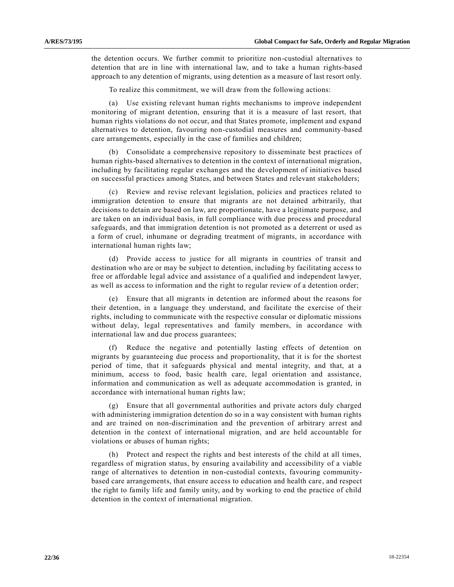the detention occurs. We further commit to prioritize non-custodial alternatives to detention that are in line with international law, and to take a human rights-based approach to any detention of migrants, using detention as a measure of last resort only.

To realize this commitment, we will draw from the following actions:

(a) Use existing relevant human rights mechanisms to improve independent monitoring of migrant detention, ensuring that it is a measure of last resort, that human rights violations do not occur, and that States promote, implement and expand alternatives to detention, favouring non-custodial measures and community-based care arrangements, especially in the case of families and children;

(b) Consolidate a comprehensive repository to disseminate best practices of human rights-based alternatives to detention in the context of international migration, including by facilitating regular exchanges and the development of initiatives based on successful practices among States, and between States and relevant stakeholders;

(c) Review and revise relevant legislation, policies and practices related to immigration detention to ensure that migrants are not detained arbitrarily, that decisions to detain are based on law, are proportionate, have a legitimate purpose, and are taken on an individual basis, in full compliance with due process and procedural safeguards, and that immigration detention is not promoted as a deterrent or used as a form of cruel, inhumane or degrading treatment of migrants, in accordance with international human rights law;

(d) Provide access to justice for all migrants in countries of transit and destination who are or may be subject to detention, including by facilitating access to free or affordable legal advice and assistance of a qualified and independent lawyer, as well as access to information and the right to regular review of a detention order;

(e) Ensure that all migrants in detention are informed about the reasons for their detention, in a language they understand, and facilitate the exercise of their rights, including to communicate with the respective consular or diplomatic missions without delay, legal representatives and family members, in accordance with international law and due process guarantees;

(f) Reduce the negative and potentially lasting effects of detention on migrants by guaranteeing due process and proportionality, that it is for the shortest period of time, that it safeguards physical and mental integrity, and that, at a minimum, access to food, basic health care, legal orientation and assistance, information and communication as well as adequate accommodation is granted, in accordance with international human rights law;

(g) Ensure that all governmental authorities and private actors duly charged with administering immigration detention do so in a way consistent with human rights and are trained on non-discrimination and the prevention of arbitrary arrest and detention in the context of international migration, and are held accountable for violations or abuses of human rights;

(h) Protect and respect the rights and best interests of the child at all times, regardless of migration status, by ensuring availability and accessibility of a viable range of alternatives to detention in non-custodial contexts, favouring communitybased care arrangements, that ensure access to education and health care, and respect the right to family life and family unity, and by working to end the practice of child detention in the context of international migration.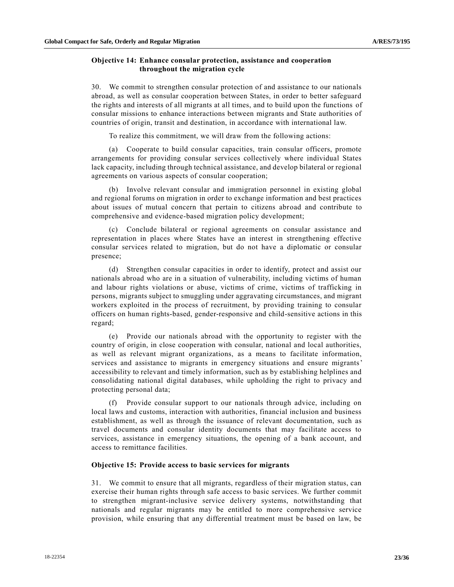## **Objective 14: Enhance consular protection, assistance and cooperation throughout the migration cycle**

30. We commit to strengthen consular protection of and assistance to our nationals abroad, as well as consular cooperation between States, in order to better safeguard the rights and interests of all migrants at all times, and to build upon the functions of consular missions to enhance interactions between migrants and State authorities of countries of origin, transit and destination, in accordance with international law.

To realize this commitment, we will draw from the following actions:

(a) Cooperate to build consular capacities, train consular officers, promote arrangements for providing consular services collectively where individual States lack capacity, including through technical assistance, and develop bilateral or regional agreements on various aspects of consular cooperation;

(b) Involve relevant consular and immigration personnel in existing global and regional forums on migration in order to exchange information and best practices about issues of mutual concern that pertain to citizens abroad and contribute to comprehensive and evidence-based migration policy development;

(c) Conclude bilateral or regional agreements on consular assistance and representation in places where States have an interest in strengthening effective consular services related to migration, but do not have a diplomatic or consular presence;

(d) Strengthen consular capacities in order to identify, protect and assist our nationals abroad who are in a situation of vulnerability, including victims of human and labour rights violations or abuse, victims of crime, victims of trafficking in persons, migrants subject to smuggling under aggravating circumstances, and migrant workers exploited in the process of recruitment, by providing training to consular officers on human rights-based, gender-responsive and child-sensitive actions in this regard;

(e) Provide our nationals abroad with the opportunity to register with the country of origin, in close cooperation with consular, national and local authorities, as well as relevant migrant organizations, as a means to facilitate information, services and assistance to migrants in emergency situations and ensure migrants' accessibility to relevant and timely information, such as by establishing helplines and consolidating national digital databases, while upholding the right to privacy and protecting personal data;

(f) Provide consular support to our nationals through advice, including on local laws and customs, interaction with authorities, financial inclusion and business establishment, as well as through the issuance of relevant documentation, such as travel documents and consular identity documents that may facilitate access to services, assistance in emergency situations, the opening of a bank account, and access to remittance facilities.

#### **Objective 15: Provide access to basic services for migrants**

31. We commit to ensure that all migrants, regardless of their migration status, can exercise their human rights through safe access to basic services. We further commit to strengthen migrant-inclusive service delivery systems, notwithstanding that nationals and regular migrants may be entitled to more comprehensive service provision, while ensuring that any differential treatment must be based on law, be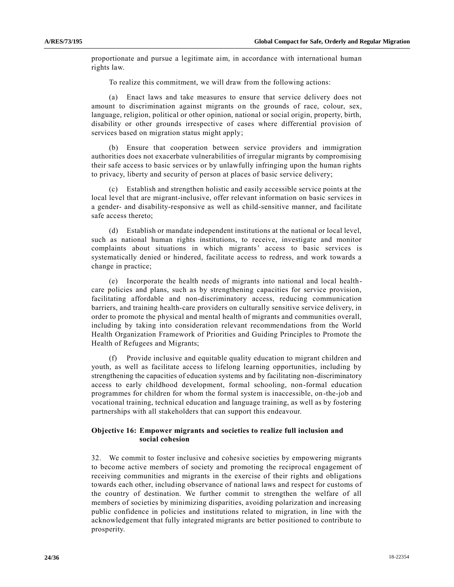proportionate and pursue a legitimate aim, in accordance with international human rights law.

To realize this commitment, we will draw from the following actions:

(a) Enact laws and take measures to ensure that service delivery does not amount to discrimination against migrants on the grounds of race, colour, sex, language, religion, political or other opinion, national or social origin, property, birth, disability or other grounds irrespective of cases where differential provision of services based on migration status might apply;

(b) Ensure that cooperation between service providers and immigration authorities does not exacerbate vulnerabilities of irregular migrants by compromising their safe access to basic services or by unlawfully infringing upon the human rights to privacy, liberty and security of person at places of basic service delivery;

(c) Establish and strengthen holistic and easily accessible service points at the local level that are migrant-inclusive, offer relevant information on basic services in a gender- and disability-responsive as well as child-sensitive manner, and facilitate safe access thereto;

(d) Establish or mandate independent institutions at the national or local level, such as national human rights institutions, to receive, investigate and monitor complaints about situations in which migrants' access to basic services is systematically denied or hindered, facilitate access to redress, and work towards a change in practice;

(e) Incorporate the health needs of migrants into national and local healthcare policies and plans, such as by strengthening capacities for service provision, facilitating affordable and non-discriminatory access, reducing communication barriers, and training health-care providers on culturally sensitive service delivery, in order to promote the physical and mental health of migrants and communities overall, including by taking into consideration relevant recommendations from the World Health Organization Framework of Priorities and Guiding Principles to Promote the Health of Refugees and Migrants;

(f) Provide inclusive and equitable quality education to migrant children and youth, as well as facilitate access to lifelong learning opportunities, including by strengthening the capacities of education systems and by facilitating non-discriminatory access to early childhood development, formal schooling, non-formal education programmes for children for whom the formal system is inaccessible, on-the-job and vocational training, technical education and language training, as well as by fostering partnerships with all stakeholders that can support this endeavour.

### **Objective 16: Empower migrants and societies to realize full inclusion and social cohesion**

32. We commit to foster inclusive and cohesive societies by empowering migrants to become active members of society and promoting the reciprocal engagement of receiving communities and migrants in the exercise of their rights and obligations towards each other, including observance of national laws and respect for customs of the country of destination. We further commit to strengthen the welfare of all members of societies by minimizing disparities, avoiding polarization and increasing public confidence in policies and institutions related to migration, in line with the acknowledgement that fully integrated migrants are better positioned to contribute to prosperity.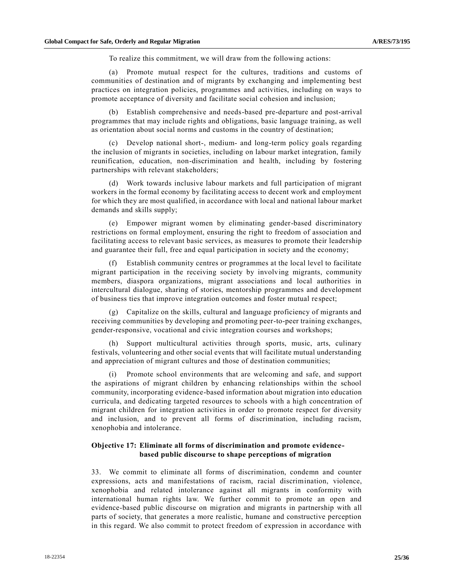To realize this commitment, we will draw from the following actions:

(a) Promote mutual respect for the cultures, traditions and customs of communities of destination and of migrants by exchanging and implementing best practices on integration policies, programmes and activities, including on ways to promote acceptance of diversity and facilitate social cohesion and inclusion;

(b) Establish comprehensive and needs-based pre-departure and post-arrival programmes that may include rights and obligations, basic language training, as well as orientation about social norms and customs in the country of destination;

(c) Develop national short-, medium- and long-term policy goals regarding the inclusion of migrants in societies, including on labour market integration, family reunification, education, non-discrimination and health, including by fostering partnerships with relevant stakeholders;

(d) Work towards inclusive labour markets and full participation of migrant workers in the formal economy by facilitating access to decent work and employment for which they are most qualified, in accordance with local and national labour market demands and skills supply;

(e) Empower migrant women by eliminating gender-based discriminatory restrictions on formal employment, ensuring the right to freedom of association and facilitating access to relevant basic services, as measures to promote their leadership and guarantee their full, free and equal participation in society and the economy;

Establish community centres or programmes at the local level to facilitate migrant participation in the receiving society by involving migrants, community members, diaspora organizations, migrant associations and local authorities in intercultural dialogue, sharing of stories, mentorship programmes and development of business ties that improve integration outcomes and foster mutual re spect;

(g) Capitalize on the skills, cultural and language proficiency of migrants and receiving communities by developing and promoting peer-to-peer training exchanges, gender-responsive, vocational and civic integration courses and workshops;

(h) Support multicultural activities through sports, music, arts, culinary festivals, volunteering and other social events that will facilitate mutual understanding and appreciation of migrant cultures and those of destination communities;

(i) Promote school environments that are welcoming and safe, and support the aspirations of migrant children by enhancing relationships within the school community, incorporating evidence-based information about migration into education curricula, and dedicating targeted resources to schools with a high concentration of migrant children for integration activities in order to promote respect for diversity and inclusion, and to prevent all forms of discrimination, including racism, xenophobia and intolerance.

## **Objective 17: Eliminate all forms of discrimination and promote evidencebased public discourse to shape perceptions of migration**

33. We commit to eliminate all forms of discrimination, condemn and counter expressions, acts and manifestations of racism, racial discrimination, violence, xenophobia and related intolerance against all migrants in conformity with international human rights law. We further commit to promote an open and evidence-based public discourse on migration and migrants in partnership with all parts of society, that generates a more realistic, humane and constructive perception in this regard. We also commit to protect freedom of expression in accordance with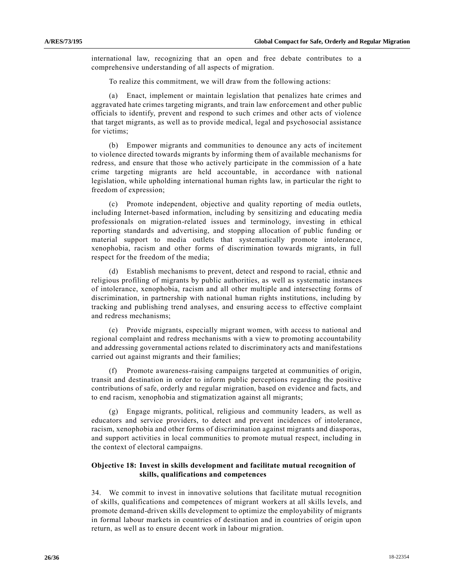international law, recognizing that an open and free debate contributes to a comprehensive understanding of all aspects of migration.

To realize this commitment, we will draw from the following actions:

(a) Enact, implement or maintain legislation that penalizes hate crimes and aggravated hate crimes targeting migrants, and train law enforcement and other public officials to identify, prevent and respond to such crimes and other acts of violence that target migrants, as well as to provide medical, legal and psychosocial assistance for victims;

(b) Empower migrants and communities to denounce any acts of incitement to violence directed towards migrants by informing them of available mechanisms for redress, and ensure that those who actively participate in the commission of a hate crime targeting migrants are held accountable, in accordance with national legislation, while upholding international human rights law, in particular the right to freedom of expression;

(c) Promote independent, objective and quality reporting of media outlets, including Internet-based information, including by sensitizing and educating media professionals on migration-related issues and terminology, investing in ethical reporting standards and advertising, and stopping allocation of public funding or material support to media outlets that systematically promote intolerance, xenophobia, racism and other forms of discrimination towards migrants, in full respect for the freedom of the media;

(d) Establish mechanisms to prevent, detect and respond to racial, ethnic and religious profiling of migrants by public authorities, as well as systematic instances of intolerance, xenophobia, racism and all other multiple and intersecting forms of discrimination, in partnership with national human rights institutions, including by tracking and publishing trend analyses, and ensuring access to effective complaint and redress mechanisms;

(e) Provide migrants, especially migrant women, with access to national and regional complaint and redress mechanisms with a view to promoting accountability and addressing governmental actions related to discriminatory acts and manifestations carried out against migrants and their families;

(f) Promote awareness-raising campaigns targeted at communities of origin, transit and destination in order to inform public perceptions regarding the positive contributions of safe, orderly and regular migration, based on evidence and facts, and to end racism, xenophobia and stigmatization against all migrants;

(g) Engage migrants, political, religious and community leaders, as well as educators and service providers, to detect and prevent incidences of intolerance, racism, xenophobia and other forms of discrimination against migrants and diasporas, and support activities in local communities to promote mutual respect, including in the context of electoral campaigns.

## **Objective 18: Invest in skills development and facilitate mutual recognition of skills, qualifications and competences**

34. We commit to invest in innovative solutions that facilitate mutual recognition of skills, qualifications and competences of migrant workers at all skills levels, and promote demand-driven skills development to optimize the employability of migrants in formal labour markets in countries of destination and in countries of origin upon return, as well as to ensure decent work in labour migration.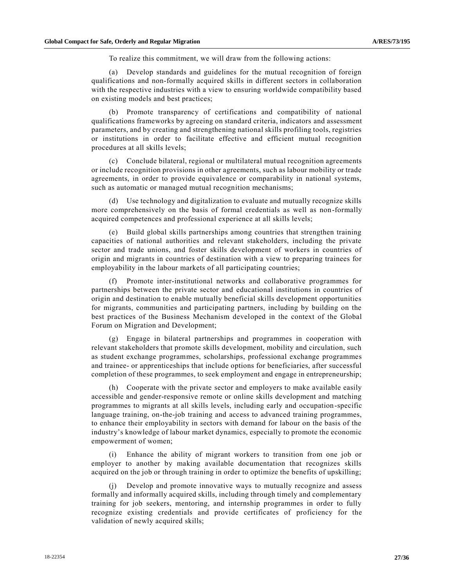To realize this commitment, we will draw from the following actions:

(a) Develop standards and guidelines for the mutual recognition of foreign qualifications and non-formally acquired skills in different sectors in collaboration with the respective industries with a view to ensuring worldwide compatibility based on existing models and best practices;

(b) Promote transparency of certifications and compatibility of national qualifications frameworks by agreeing on standard criteria, indicators and assessment parameters, and by creating and strengthening national skills profiling tools, registries or institutions in order to facilitate effective and efficient mutual recognition procedures at all skills levels;

(c) Conclude bilateral, regional or multilateral mutual recognition agreements or include recognition provisions in other agreements, such as labour mobility or trade agreements, in order to provide equivalence or comparability in national systems, such as automatic or managed mutual recognition mechanisms;

(d) Use technology and digitalization to evaluate and mutually recognize skills more comprehensively on the basis of formal credentials as well as non-formally acquired competences and professional experience at all skills levels;

Build global skills partnerships among countries that strengthen training capacities of national authorities and relevant stakeholders, including the private sector and trade unions, and foster skills development of workers in countries of origin and migrants in countries of destination with a view to preparing trainees for employability in the labour markets of all participating countries;

Promote inter-institutional networks and collaborative programmes for partnerships between the private sector and educational institutions in countries of origin and destination to enable mutually beneficial skills development opportunities for migrants, communities and participating partners, including by building on the best practices of the Business Mechanism developed in the context of the Global Forum on Migration and Development;

(g) Engage in bilateral partnerships and programmes in cooperation with relevant stakeholders that promote skills development, mobility and circulation, such as student exchange programmes, scholarships, professional exchange programmes and trainee- or apprenticeships that include options for beneficiaries, after successful completion of these programmes, to seek employment and engage in entrepreneurship;

(h) Cooperate with the private sector and employers to make available easily accessible and gender-responsive remote or online skills development and matching programmes to migrants at all skills levels, including early and occupation-specific language training, on-the-job training and access to advanced training programmes, to enhance their employability in sectors with demand for labour on the basis of the industry's knowledge of labour market dynamics, especially to promote the economic empowerment of women;

(i) Enhance the ability of migrant workers to transition from one job or employer to another by making available documentation that recognizes skills acquired on the job or through training in order to optimize the benefits of upskilling;

(j) Develop and promote innovative ways to mutually recognize and assess formally and informally acquired skills, including through timely and complementary training for job seekers, mentoring, and internship programmes in order to fully recognize existing credentials and provide certificates of proficiency for the validation of newly acquired skills;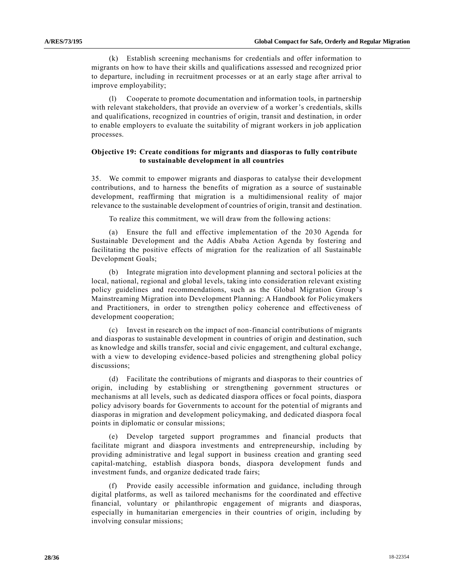(k) Establish screening mechanisms for credentials and offer information to migrants on how to have their skills and qualifications assessed and recognized prior to departure, including in recruitment processes or at an early stage after arrival to improve employability;

(l) Cooperate to promote documentation and information tools, in partnership with relevant stakeholders, that provide an overview of a worker's credentials, skills and qualifications, recognized in countries of origin, transit and destination, in order to enable employers to evaluate the suitability of migrant workers in job application processes.

## **Objective 19: Create conditions for migrants and diasporas to fully contribute to sustainable development in all countries**

35. We commit to empower migrants and diasporas to catalyse their development contributions, and to harness the benefits of migration as a source of sustainable development, reaffirming that migration is a multidimensional reality of major relevance to the sustainable development of countries of origin, transit and destination.

To realize this commitment, we will draw from the following actions:

(a) Ensure the full and effective implementation of the 2030 Agenda for Sustainable Development and the Addis Ababa Action Agenda by fostering and facilitating the positive effects of migration for the realization of all Sustainable Development Goals;

(b) Integrate migration into development planning and sectoral policies at the local, national, regional and global levels, taking into consideration relevant existing policy guidelines and recommendations, such as the Global Migration Group 's Mainstreaming Migration into Development Planning: A Handbook for Policymakers and Practitioners, in order to strengthen policy coherence and effectiveness of development cooperation;

(c) Invest in research on the impact of non-financial contributions of migrants and diasporas to sustainable development in countries of origin and destination, such as knowledge and skills transfer, social and civic engagement, and cultural exchange, with a view to developing evidence-based policies and strengthening global policy discussions;

(d) Facilitate the contributions of migrants and diasporas to their countries of origin, including by establishing or strengthening government structures or mechanisms at all levels, such as dedicated diaspora offices or focal points, diaspora policy advisory boards for Governments to account for the potential of migrants and diasporas in migration and development policymaking, and dedicated diaspora focal points in diplomatic or consular missions;

(e) Develop targeted support programmes and financial products that facilitate migrant and diaspora investments and entrepreneurship, including by providing administrative and legal support in business creation and granting seed capital-matching, establish diaspora bonds, diaspora development funds and investment funds, and organize dedicated trade fairs;

(f) Provide easily accessible information and guidance, including through digital platforms, as well as tailored mechanisms for the coordinated and effective financial, voluntary or philanthropic engagement of migrants and diasporas, especially in humanitarian emergencies in their countries of origin, including by involving consular missions;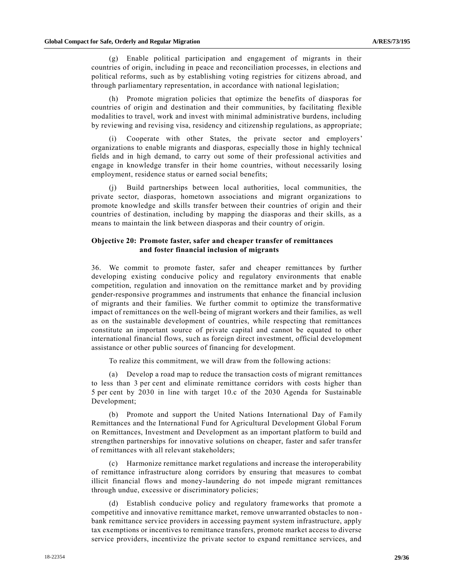(g) Enable political participation and engagement of migrants in their countries of origin, including in peace and reconciliation processes, in elections and political reforms, such as by establishing voting registries for citizens abroad, and through parliamentary representation, in accordance with national legislation;

(h) Promote migration policies that optimize the benefits of diasporas for countries of origin and destination and their communities, by facilitating flexible modalities to travel, work and invest with minimal administrative burdens, including by reviewing and revising visa, residency and citizenship regulations, as appropriate;

Cooperate with other States, the private sector and employers' organizations to enable migrants and diasporas, especially those in highly technical fields and in high demand, to carry out some of their professional activities and engage in knowledge transfer in their home countries, without necessarily losing employment, residence status or earned social benefits;

(j) Build partnerships between local authorities, local communities, the private sector, diasporas, hometown associations and migrant organizations to promote knowledge and skills transfer between their countries of origin and their countries of destination, including by mapping the diasporas and their skills, as a means to maintain the link between diasporas and their country of origin.

## **Objective 20: Promote faster, safer and cheaper transfer of remittances and foster financial inclusion of migrants**

36. We commit to promote faster, safer and cheaper remittances by further developing existing conducive policy and regulatory environments that enable competition, regulation and innovation on the remittance market and by providing gender-responsive programmes and instruments that enhance the financial inclusion of migrants and their families. We further commit to optimize the transformative impact of remittances on the well-being of migrant workers and their families, as well as on the sustainable development of countries, while respecting that remittances constitute an important source of private capital and cannot be equated to other international financial flows, such as foreign direct investment, official development assistance or other public sources of financing for development.

To realize this commitment, we will draw from the following actions:

(a) Develop a road map to reduce the transaction costs of migrant remittances to less than 3 per cent and eliminate remittance corridors with costs higher than 5 per cent by 2030 in line with target 10.c of the 2030 Agenda for Sustainable Development;

(b) Promote and support the United Nations International Day of Family Remittances and the International Fund for Agricultural Development Global Forum on Remittances, Investment and Development as an important platform to build and strengthen partnerships for innovative solutions on cheaper, faster and safer transfer of remittances with all relevant stakeholders;

(c) Harmonize remittance market regulations and increase the interoperability of remittance infrastructure along corridors by ensuring that measures to combat illicit financial flows and money-laundering do not impede migrant remittances through undue, excessive or discriminatory policies;

(d) Establish conducive policy and regulatory frameworks that promote a competitive and innovative remittance market, remove unwarranted obstacles to non bank remittance service providers in accessing payment system infrastructure, apply tax exemptions or incentives to remittance transfers, promote market access to diverse service providers, incentivize the private sector to expand remittance services, and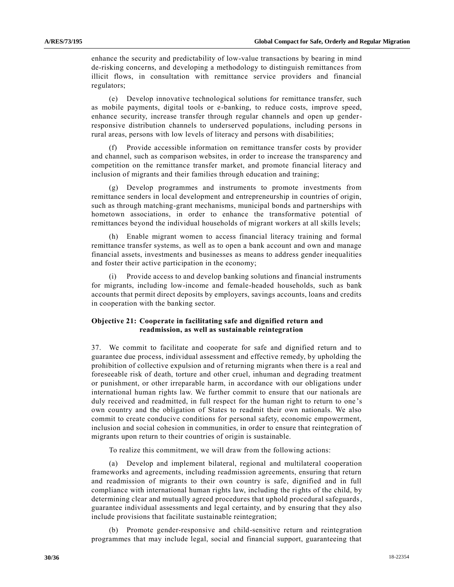enhance the security and predictability of low-value transactions by bearing in mind de-risking concerns, and developing a methodology to distinguish remittances from illicit flows, in consultation with remittance service providers and financial regulators;

(e) Develop innovative technological solutions for remittance transfer, such as mobile payments, digital tools or e-banking, to reduce costs, improve speed, enhance security, increase transfer through regular channels and open up genderresponsive distribution channels to underserved populations, including persons in rural areas, persons with low levels of literacy and persons with disabilities;

(f) Provide accessible information on remittance transfer costs by provider and channel, such as comparison websites, in order to increase the transparency and competition on the remittance transfer market, and promote financial literacy and inclusion of migrants and their families through education and training;

(g) Develop programmes and instruments to promote investments from remittance senders in local development and entrepreneurship in countries of origin, such as through matching-grant mechanisms, municipal bonds and partnerships with hometown associations, in order to enhance the transformative potential of remittances beyond the individual households of migrant workers at all skills levels;

(h) Enable migrant women to access financial literacy training and formal remittance transfer systems, as well as to open a bank account and own and manage financial assets, investments and businesses as means to address gender inequalities and foster their active participation in the economy;

(i) Provide access to and develop banking solutions and financial instruments for migrants, including low-income and female-headed households, such as bank accounts that permit direct deposits by employers, savings accounts, loans and credits in cooperation with the banking sector.

## **Objective 21: Cooperate in facilitating safe and dignified return and readmission, as well as sustainable reintegration**

37. We commit to facilitate and cooperate for safe and dignified return and to guarantee due process, individual assessment and effective remedy, by upholding the prohibition of collective expulsion and of returning migrants when there is a real and foreseeable risk of death, torture and other cruel, inhuman and degrading treatment or punishment, or other irreparable harm, in accordance with our obligations under international human rights law. We further commit to ensure that our nationals are duly received and readmitted, in full respect for the human right to return to one 's own country and the obligation of States to readmit their own nationals. We also commit to create conducive conditions for personal safety, economic empowerment, inclusion and social cohesion in communities, in order to ensure that reintegration of migrants upon return to their countries of origin is sustainable.

To realize this commitment, we will draw from the following actions:

(a) Develop and implement bilateral, regional and multilateral cooperation frameworks and agreements, including readmission agreements, ensuring that return and readmission of migrants to their own country is safe, dignified and in full compliance with international human rights law, including the rights of the child, by determining clear and mutually agreed procedures that uphold procedural safeguards, guarantee individual assessments and legal certainty, and by ensuring that they also include provisions that facilitate sustainable reintegration;

(b) Promote gender-responsive and child-sensitive return and reintegration programmes that may include legal, social and financial support, guaranteeing that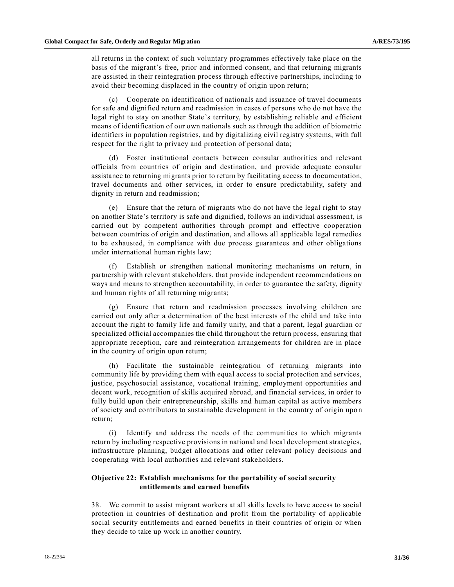all returns in the context of such voluntary programmes effectively take place on the basis of the migrant's free, prior and informed consent, and that returning migrants are assisted in their reintegration process through effective partnerships, including to avoid their becoming displaced in the country of origin upon return;

(c) Cooperate on identification of nationals and issuance of travel documents for safe and dignified return and readmission in cases of persons who do not have the legal right to stay on another State's territory, by establishing reliable and efficient means of identification of our own nationals such as through the addition of biometric identifiers in population registries, and by digitalizing civil registry systems, with full respect for the right to privacy and protection of personal data;

(d) Foster institutional contacts between consular authorities and relevant officials from countries of origin and destination, and provide adequate consular assistance to returning migrants prior to return by facilitating access to documentation, travel documents and other services, in order to ensure predictability, safety and dignity in return and readmission;

(e) Ensure that the return of migrants who do not have the legal right to stay on another State's territory is safe and dignified, follows an individual assessment, is carried out by competent authorities through prompt and effective cooperation between countries of origin and destination, and allows all applicable legal remedies to be exhausted, in compliance with due process guarantees and other obligations under international human rights law;

(f) Establish or strengthen national monitoring mechanisms on return, in partnership with relevant stakeholders, that provide independent recommendations on ways and means to strengthen accountability, in order to guarante e the safety, dignity and human rights of all returning migrants;

(g) Ensure that return and readmission processes involving children are carried out only after a determination of the best interests of the child and take into account the right to family life and family unity, and that a parent, legal guardian or specialized official accompanies the child throughout the return process, ensuring that appropriate reception, care and reintegration arrangements for children are in place in the country of origin upon return;

(h) Facilitate the sustainable reintegration of returning migrants into community life by providing them with equal access to social protection and services, justice, psychosocial assistance, vocational training, employment opportunities and decent work, recognition of skills acquired abroad, and financial services, in order to fully build upon their entrepreneurship, skills and human capital as active members of society and contributors to sustainable development in the country of origin upo n return;

(i) Identify and address the needs of the communities to which migrants return by including respective provisions in national and local development strategies, infrastructure planning, budget allocations and other relevant policy decisions and cooperating with local authorities and relevant stakeholders.

#### **Objective 22: Establish mechanisms for the portability of social security entitlements and earned benefits**

38. We commit to assist migrant workers at all skills levels to have access to social protection in countries of destination and profit from the portability of applicable social security entitlements and earned benefits in their countries of origin or when they decide to take up work in another country.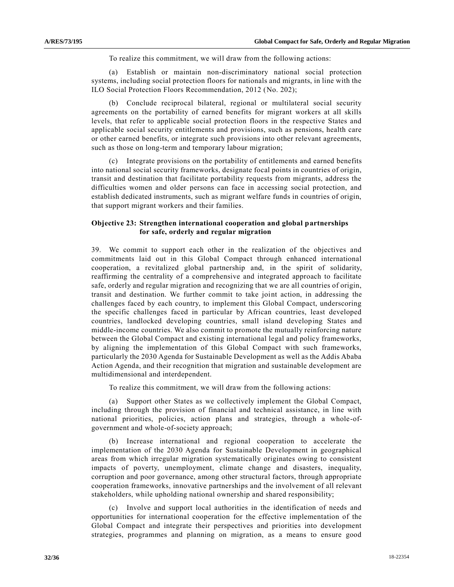To realize this commitment, we will draw from the following actions:

(a) Establish or maintain non-discriminatory national social protection systems, including social protection floors for nationals and migrants, in line with the ILO Social Protection Floors Recommendation, 2012 (No. 202);

(b) Conclude reciprocal bilateral, regional or multilateral social security agreements on the portability of earned benefits for migrant workers at all skills levels, that refer to applicable social protection floors in the respective States and applicable social security entitlements and provisions, such as pensions, health care or other earned benefits, or integrate such provisions into other relevant agreements, such as those on long-term and temporary labour migration;

(c) Integrate provisions on the portability of entitlements and earned benefits into national social security frameworks, designate focal points in countries of origin, transit and destination that facilitate portability requests from migrants, address the difficulties women and older persons can face in accessing social protection, and establish dedicated instruments, such as migrant welfare funds in countries of origin, that support migrant workers and their families.

## **Objective 23: Strengthen international cooperation and global partnerships for safe, orderly and regular migration**

39. We commit to support each other in the realization of the objectives and commitments laid out in this Global Compact through enhanced international cooperation, a revitalized global partnership and, in the spirit of solidarity, reaffirming the centrality of a comprehensive and integrated approach to facilitate safe, orderly and regular migration and recognizing that we are all countries of origin, transit and destination. We further commit to take joint action, in addressing the challenges faced by each country, to implement this Global Compact, underscoring the specific challenges faced in particular by African countries, least developed countries, landlocked developing countries, small island developing States and middle-income countries. We also commit to promote the mutually reinforcing nature between the Global Compact and existing international legal and policy frameworks, by aligning the implementation of this Global Compact with such frameworks, particularly the 2030 Agenda for Sustainable Development as well as the Addis Ababa Action Agenda, and their recognition that migration and sustainable development are multidimensional and interdependent.

To realize this commitment, we will draw from the following actions:

(a) Support other States as we collectively implement the Global Compact, including through the provision of financial and technical assistance, in line with national priorities, policies, action plans and strategies, through a whole-ofgovernment and whole-of-society approach;

(b) Increase international and regional cooperation to accelerate the implementation of the 2030 Agenda for Sustainable Development in geographical areas from which irregular migration systematically originates owing to consistent impacts of poverty, unemployment, climate change and disasters, inequality, corruption and poor governance, among other structural factors, through appropriate cooperation frameworks, innovative partnerships and the involvement of all relevant stakeholders, while upholding national ownership and shared responsibility;

(c) Involve and support local authorities in the identification of needs and opportunities for international cooperation for the effective implementation of the Global Compact and integrate their perspectives and priorities into development strategies, programmes and planning on migration, as a means to ensure good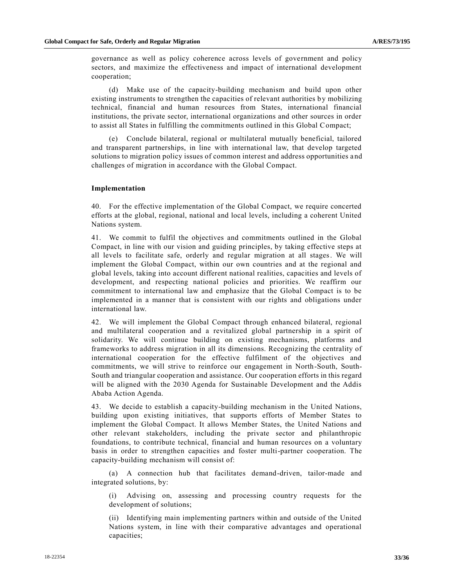governance as well as policy coherence across levels of government and policy sectors, and maximize the effectiveness and impact of international development cooperation;

(d) Make use of the capacity-building mechanism and build upon other existing instruments to strengthen the capacities of relevant authorities by mobilizing technical, financial and human resources from States, international financial institutions, the private sector, international organizations and other sources in order to assist all States in fulfilling the commitments outlined in this Global Compact;

Conclude bilateral, regional or multilateral mutually beneficial, tailored and transparent partnerships, in line with international law, that develop targeted solutions to migration policy issues of common interest and address opportunities and challenges of migration in accordance with the Global Compact.

#### **Implementation**

40. For the effective implementation of the Global Compact, we require concerted efforts at the global, regional, national and local levels, including a coherent United Nations system.

41. We commit to fulfil the objectives and commitments outlined in the Global Compact, in line with our vision and guiding principles, by taking effective steps at all levels to facilitate safe, orderly and regular migration at all stages. We will implement the Global Compact, within our own countries and at the regional and global levels, taking into account different national realities, capacities and levels of development, and respecting national policies and priorities. We reaffirm our commitment to international law and emphasize that the Global Compact is to be implemented in a manner that is consistent with our rights and obligations under international law.

42. We will implement the Global Compact through enhanced bilateral, regional and multilateral cooperation and a revitalized global partnership in a spirit of solidarity. We will continue building on existing mechanisms, platforms and frameworks to address migration in all its dimensions. Recognizing the centrality of international cooperation for the effective fulfilment of the objectives and commitments, we will strive to reinforce our engagement in North-South, South-South and triangular cooperation and assistance. Our cooperation efforts in this regard will be aligned with the 2030 Agenda for Sustainable Development and the Addis Ababa Action Agenda.

43. We decide to establish a capacity-building mechanism in the United Nations, building upon existing initiatives, that supports efforts of Member States to implement the Global Compact. It allows Member States, the United Nations and other relevant stakeholders, including the private sector and philanthropic foundations, to contribute technical, financial and human resources on a voluntary basis in order to strengthen capacities and foster multi-partner cooperation. The capacity-building mechanism will consist of:

(a) A connection hub that facilitates demand-driven, tailor-made and integrated solutions, by:

(i) Advising on, assessing and processing country requests for the development of solutions;

(ii) Identifying main implementing partners within and outside of the United Nations system, in line with their comparative advantages and operational capacities;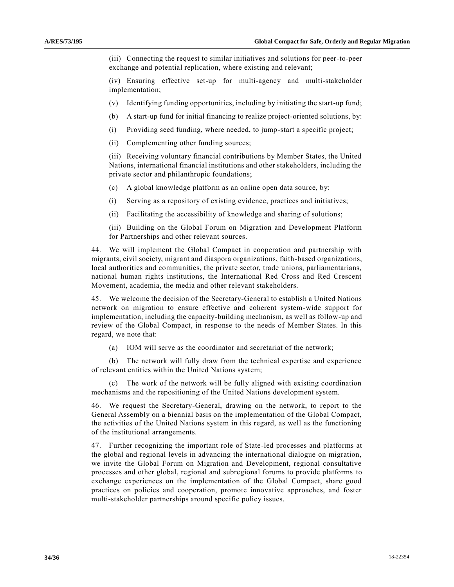(iii) Connecting the request to similar initiatives and solutions for peer-to-peer exchange and potential replication, where existing and relevant;

(iv) Ensuring effective set-up for multi-agency and multi-stakeholder implementation;

- (v) Identifying funding opportunities, including by initiating the start-up fund;
- (b) A start-up fund for initial financing to realize project-oriented solutions, by:
- (i) Providing seed funding, where needed, to jump-start a specific project;
- (ii) Complementing other funding sources;

(iii) Receiving voluntary financial contributions by Member States, the United Nations, international financial institutions and other stakeholders, including the private sector and philanthropic foundations;

- (c) A global knowledge platform as an online open data source, by:
- (i) Serving as a repository of existing evidence, practices and initiatives;
- (ii) Facilitating the accessibility of knowledge and sharing of solutions;

(iii) Building on the Global Forum on Migration and Development Platform for Partnerships and other relevant sources.

44. We will implement the Global Compact in cooperation and partnership with migrants, civil society, migrant and diaspora organizations, faith-based organizations, local authorities and communities, the private sector, trade unions, parliamentarians, national human rights institutions, the International Red Cross and Red Crescent Movement, academia, the media and other relevant stakeholders.

45. We welcome the decision of the Secretary-General to establish a United Nations network on migration to ensure effective and coherent system-wide support for implementation, including the capacity-building mechanism, as well as follow-up and review of the Global Compact, in response to the needs of Member States. In this regard, we note that:

(a) IOM will serve as the coordinator and secretariat of the network;

(b) The network will fully draw from the technical expertise and experience of relevant entities within the United Nations system;

(c) The work of the network will be fully aligned with existing coordination mechanisms and the repositioning of the United Nations development system.

46. We request the Secretary-General, drawing on the network, to report to the General Assembly on a biennial basis on the implementation of the Global Compact, the activities of the United Nations system in this regard, as well as the functioning of the institutional arrangements.

47. Further recognizing the important role of State-led processes and platforms at the global and regional levels in advancing the international dialogue on migration, we invite the Global Forum on Migration and Development, regional consultative processes and other global, regional and subregional forums to provide platforms to exchange experiences on the implementation of the Global Compact, share good practices on policies and cooperation, promote innovative approaches, and foster multi-stakeholder partnerships around specific policy issues.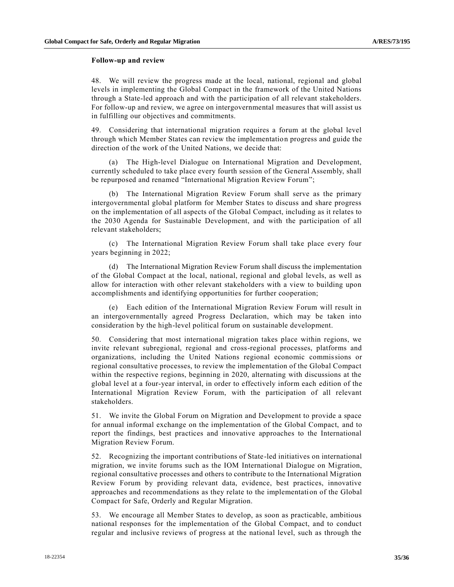#### **Follow-up and review**

48. We will review the progress made at the local, national, regional and global levels in implementing the Global Compact in the framework of the United Nations through a State-led approach and with the participation of all relevant stakeholders. For follow-up and review, we agree on intergovernmental measures that will assist us in fulfilling our objectives and commitments.

49. Considering that international migration requires a forum at the global level through which Member States can review the implementation progress and guide the direction of the work of the United Nations, we decide that:

(a) The High-level Dialogue on International Migration and Development, currently scheduled to take place every fourth session of the General Assembly, shall be repurposed and renamed "International Migration Review Forum";

(b) The International Migration Review Forum shall serve as the primary intergovernmental global platform for Member States to discuss and share progress on the implementation of all aspects of the Global Compact, including as it relates to the 2030 Agenda for Sustainable Development, and with the participation of all relevant stakeholders;

(c) The International Migration Review Forum shall take place every four years beginning in 2022;

(d) The International Migration Review Forum shall discuss the implementation of the Global Compact at the local, national, regional and global levels, as well as allow for interaction with other relevant stakeholders with a view to building upon accomplishments and identifying opportunities for further cooperation;

(e) Each edition of the International Migration Review Forum will result in an intergovernmentally agreed Progress Declaration, which may be taken into consideration by the high-level political forum on sustainable development.

50. Considering that most international migration takes place within regions, we invite relevant subregional, regional and cross-regional processes, platforms and organizations, including the United Nations regional economic commissions or regional consultative processes, to review the implementation of the Global Compact within the respective regions, beginning in 2020, alternating with discussions at the global level at a four-year interval, in order to effectively inform each edition of the International Migration Review Forum, with the participation of all relevant stakeholders.

51. We invite the Global Forum on Migration and Development to provide a space for annual informal exchange on the implementation of the Global Compact, and to report the findings, best practices and innovative approaches to the International Migration Review Forum.

52. Recognizing the important contributions of State-led initiatives on international migration, we invite forums such as the IOM International Dialogue on Migration, regional consultative processes and others to contribute to the International Migration Review Forum by providing relevant data, evidence, best practices, innovative approaches and recommendations as they relate to the implementation of the Global Compact for Safe, Orderly and Regular Migration.

53. We encourage all Member States to develop, as soon as practicable, ambitious national responses for the implementation of the Global Compact, and to conduct regular and inclusive reviews of progress at the national level, such as through the